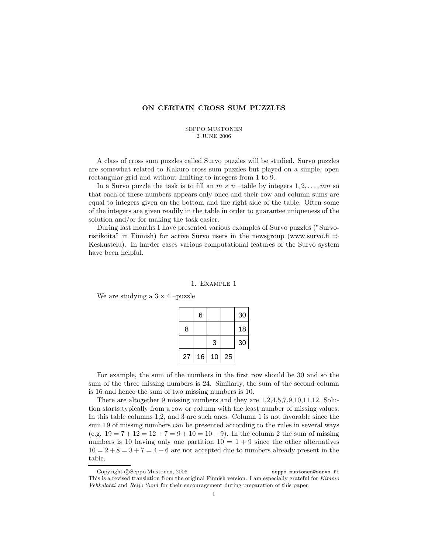## **ON CERTAIN CROSS SUM PUZZLES**

#### SEPPO MUSTONEN 2 JUNE 2006

A class of cross sum puzzles called Survo puzzles will be studied. Survo puzzles are somewhat related to Kakuro cross sum puzzles but played on a simple, open rectangular grid and without limiting to integers from 1 to 9.

In a Survo puzzle the task is to fill an  $m \times n$  –table by integers  $1, 2, \ldots, mn$  so that each of these numbers appears only once and their row and column sums are equal to integers given on the bottom and the right side of the table. Often some of the integers are given readily in the table in order to guarantee uniqueness of the solution and/or for making the task easier.

During last months I have presented various examples of Survo puzzles ("Survoristikoita" in Finnish) for active Survo users in the newsgroup (www.survo.fi  $\Rightarrow$ Keskustelu). In harder cases various computational features of the Survo system have been helpful.

#### 1. Example 1

We are studying a  $3 \times 4$  –puzzle

|    | 6  |    |    | 30 |
|----|----|----|----|----|
| 8  |    |    |    | 18 |
|    |    | 3  |    | 30 |
| 27 | 16 | 10 | 25 |    |

For example, the sum of the numbers in the first row should be 30 and so the sum of the three missing numbers is 24. Similarly, the sum of the second column is 16 and hence the sum of two missing numbers is 10.

There are altogether 9 missing numbers and they are 1,2,4,5,7,9,10,11,12. Solution starts typically from a row or column with the least number of missing values. In this table columns 1,2, and 3 are such ones. Column 1 is not favorable since the sum 19 of missing numbers can be presented according to the rules in several ways (e.g.  $19 = 7 + 12 = 12 + 7 = 9 + 10 = 10 + 9$ ). In the column 2 the sum of missing numbers is 10 having only one partition  $10 = 1 + 9$  since the other alternatives  $10 = 2 + 8 = 3 + 7 = 4 + 6$  are not accepted due to numbers already present in the table.

Copyright © Seppo Mustonen, 2006 seppo.mustonen@survo.fi This is a revised translation from the original Finnish version. I am especially grateful for Kimmo Vehkalahti and Reijo Sund for their encouragement during preparation of this paper.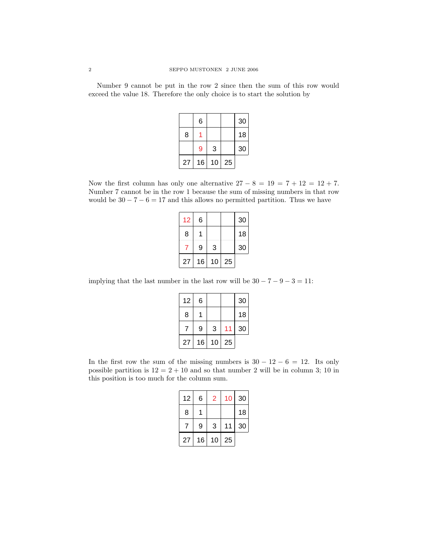Number 9 cannot be put in the row 2 since then the sum of this row would exceed the value 18. Therefore the only choice is to start the solution by

|    | 6  |    |    | 30 |
|----|----|----|----|----|
| 8  |    |    |    | 18 |
|    | 9  | 3  |    | 30 |
| 27 | 16 | 10 | 25 |    |

Now the first column has only one alternative  $27 - 8 = 19 = 7 + 12 = 12 + 7$ . Number 7 cannot be in the row 1 because the sum of missing numbers in that row would be  $30 - 7 - 6 = 17$  and this allows no permitted partition. Thus we have

| 12 | 6  |    |    | 30 |
|----|----|----|----|----|
| 8  |    |    |    | 18 |
|    | 9  | 3  |    | 30 |
| 27 | 16 | 10 | 25 |    |

implying that the last number in the last row will be  $30 - 7 - 9 - 3 = 11$ :

| 12 | 6  |    |    | 30 |
|----|----|----|----|----|
| 8  |    |    |    | 18 |
|    | 9  | 3  |    | 30 |
| 27 | 16 | 10 | 25 |    |

In the first row the sum of the missing numbers is  $30 - 12 - 6 = 12$ . Its only possible partition is  $12 = 2 + 10$  and so that number 2 will be in column 3; 10 in this position is too much for the column sum.

| 12 | 6  | 2  | 10 | 30 |
|----|----|----|----|----|
| 8  |    |    |    | 18 |
|    | 9  | 3  | 11 | 30 |
| 27 | 16 | 10 | 25 |    |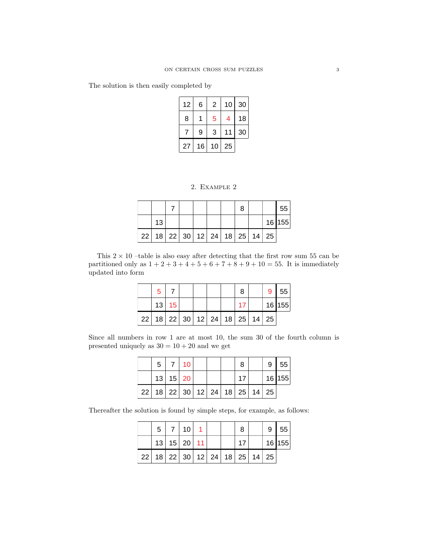The solution is then easily completed by

| 12 | 6  | 2  | 10 | 30 |
|----|----|----|----|----|
| 8  |    | 5  | 4  | 18 |
|    | 9  | 3  | 11 | 30 |
| 27 | 16 | 10 | 25 |    |

2. Example 2

|    |  |  |                                                   |  | 55       |
|----|--|--|---------------------------------------------------|--|----------|
| 13 |  |  |                                                   |  | 16   155 |
|    |  |  | $22$   18   22   30   12   24   18   25   14   25 |  |          |

This  $2 \times 10$  –table is also easy after detecting that the first row sum 55 can be partitioned only as  $1 + 2 + 3 + 4 + 5 + 6 + 7 + 8 + 9 + 10 = 55$ . It is immediately updated into form

|    | 5 |                            |  |  |  | 9 | 55       |
|----|---|----------------------------|--|--|--|---|----------|
|    |   | 13 15                      |  |  |  |   | 16   155 |
| 22 |   | 18 22 30 12 24 18 25 14 25 |  |  |  |   |          |

Since all numbers in row 1 are at most 10, the sum 30 of the fourth column is presented uniquely as  $30 = 10 + 20$  and we get

| 5 |            | $7 \mid 10$ |  |                                              |  | 9  | 55       |
|---|------------|-------------|--|----------------------------------------------|--|----|----------|
|   | $13$ 15 20 |             |  |                                              |  |    | 16   155 |
|   |            |             |  | $22$   18   22   30   12   24   18   25   14 |  | 25 |          |

Thereafter the solution is found by simple steps, for example, as follows:

|              | 5 |               | 10 |  |                         | 9  | 55       |
|--------------|---|---------------|----|--|-------------------------|----|----------|
|              |   | $13$ 15 20 11 |    |  |                         |    | 16   155 |
| $^+$ 22 $^+$ |   |               |    |  | 18 22 30 12 24 18 25 14 | 25 |          |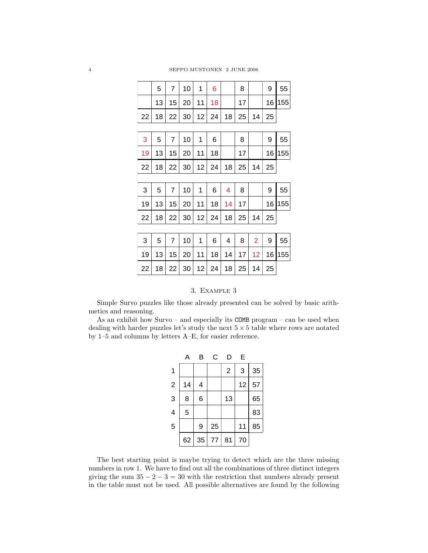4 SEPPO MUSTONEN 2 JUNE 2006

|     | 5 | 10 <sup>°</sup>                  | 6 | 8                      |    |    |        |
|-----|---|----------------------------------|---|------------------------|----|----|--------|
|     |   | $13$   $15$   $20$   $11$   $18$ |   |                        |    |    | 16 155 |
| 22. |   |                                  |   | $18$ 22 30 12 24 18 25 | 14 | 25 |        |

| -3 | 5 |                                                   | 10 |  |  |  | 55     |
|----|---|---------------------------------------------------|----|--|--|--|--------|
|    |   | $19$ 13 15 20 11 18                               |    |  |  |  | 16 155 |
|    |   | $22$   18   22   30   12   24   18   25   14   25 |    |  |  |  |        |

| $\mathbf{3}$ | $5^{\circ}$ | 7 10 16                                           |  |  |  | 9   55 |
|--------------|-------------|---------------------------------------------------|--|--|--|--------|
|              |             | $19$   13   15   20   11   18   14   17           |  |  |  | 16 155 |
|              |             | $22$   18   22   30   12   24   18   25   14   25 |  |  |  |        |

|  |                                                                              |  |  |  | $3 \mid 5 \mid 7 \mid 10 \mid 1 \mid 6 \mid 4 \mid 8 \mid 2 \mid 9 \mid 55$ |
|--|------------------------------------------------------------------------------|--|--|--|-----------------------------------------------------------------------------|
|  |                                                                              |  |  |  | 19 13 15 20 11 18 14 17 12 16 155                                           |
|  | $22 \mid 18 \mid 22 \mid 30 \mid 12 \mid 24 \mid 18 \mid 25 \mid 14 \mid 25$ |  |  |  |                                                                             |

## 3. Example 3

Simple Survo puzzles like those already presented can be solved by basic arithmetics and reasoning.

As an exhibit how Survo – and especially its COMB program – can be used when dealing with harder puzzles let's study the next  $5 \times 5$  table where rows are notated by 1–5 and columns by letters A–E, for easier reference.

|                          | Α  | в  | С  | D              | E  |    |
|--------------------------|----|----|----|----------------|----|----|
| $\overline{\mathbf{1}}$  |    |    |    | $\overline{2}$ | 3  | 35 |
| $\overline{2}$           | 14 | 4  |    |                | 12 | 57 |
| 3                        | 8  | 6  |    | 13             |    | 65 |
| $\overline{\mathcal{A}}$ | 5  |    |    |                |    | 83 |
| 5                        |    | 9  | 25 |                | 11 | 85 |
|                          | 62 | 35 | 77 | 81             | 70 |    |

The best starting point is maybe trying to detect which are the three missing numbers in row 1. We have to find out all the combinations of three distinct integers giving the sum  $35 - 2 - 3 = 30$  with the restriction that numbers already present in the table must not be used. All possible alternatives are found by the following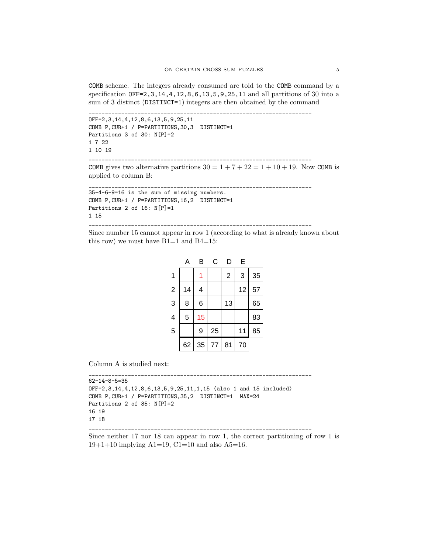COMB scheme. The integers already consumed are told to the COMB command by a specification OFF=2,3,14,4,12,8,6,13,5,9,25,11 and all partitions of 30 into a sum of 3 distinct (DISTINCT=1) integers are then obtained by the command

```
____________________________________________________________________
OFF=2,3,14,4,12,8,6,13,5,9,25,11
COMB P,CUR+1 / P=PARTITIONS,30,3 DISTINCT=1
Partitions 3 of 30: N[P]=2
1 7 22
1 10 19
____________________________________________________________________
```
COMB gives two alternative partitions  $30 = 1 + 7 + 22 = 1 + 10 + 19$ . Now COMB is applied to column B:

```
____________________________________________________________________
35-4-6-9=16 is the sum of missing numbers.
COMB P,CUR+1 / P=PARTITIONS,16,2 DISTINCT=1
Partitions 2 of 16: N[P]=11 15
  ____________________________________________________________________
```
Since number 15 cannot appear in row 1 (according to what is already known about this row) we must have  $B1=1$  and  $B4=15$ :

|                         | Α  | В  | С  | D              | Е  |    |
|-------------------------|----|----|----|----------------|----|----|
| 1                       |    | 1  |    | $\overline{2}$ | 3  | 35 |
| $\overline{2}$          | 14 | 4  |    |                | 12 | 57 |
| 3                       | 8  | 6  |    | 13             |    | 65 |
| $\overline{\mathbf{4}}$ | 5  | 15 |    |                |    | 83 |
| 5                       |    | 9  | 25 |                | 11 | 85 |
|                         | 62 | 35 | 77 | 81             | 70 |    |

Column A is studied next:

```
62-14-8-5=35
OFF=2,3,14,4,12,8,6,13,5,9,25,11,1,15 (also 1 and 15 included)
COMB P,CUR+1 / P=PARTITIONS,35,2 DISTINCT=1 MAX=24
Partitions 2 of 35: N[P]=216 19
17 18
____________________________________________________________________
```
\_\_\_\_\_\_\_\_\_\_\_\_\_\_\_\_\_\_\_\_\_\_\_\_\_\_\_\_\_\_\_\_\_\_\_\_\_\_\_\_\_\_\_\_\_\_\_\_\_\_\_\_\_\_\_\_\_\_\_\_\_\_\_\_\_\_\_\_

Since neither 17 nor 18 can appear in row 1, the correct partitioning of row 1 is  $19+1+10$  implying A1=19, C1=10 and also A5=16.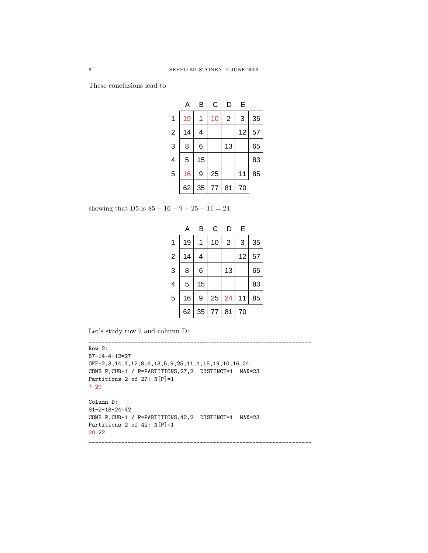These conclusions lead to

|                         | А  | B  | С  | D              | E  |    |
|-------------------------|----|----|----|----------------|----|----|
| 1                       | 19 |    | 10 | $\overline{2}$ | 3  | 35 |
| $\overline{2}$          | 14 | 4  |    |                | 12 | 57 |
| 3                       | 8  | 6  |    | 13             |    | 65 |
| $\overline{\mathbf{4}}$ | 5  | 15 |    |                |    | 83 |
| 5                       | 16 | 9  | 25 |                | 11 | 85 |
|                         | 62 | 35 | 77 | 81             | 70 |    |

showing that D5 is  $85 - 16 - 9 - 25 - 11 = 24$ 

|                         | А  | B  | C  | D              | E  |    |
|-------------------------|----|----|----|----------------|----|----|
| 1                       | 19 |    | 10 | $\overline{2}$ | 3  | 35 |
| $\overline{2}$          | 14 | 4  |    |                | 12 | 57 |
| 3                       | 8  | 6  |    | 13             |    | 65 |
| $\overline{\mathbf{4}}$ | 5  | 15 |    |                |    | 83 |
| 5                       | 16 | 9  | 25 | 24             | 11 | 85 |
|                         | 62 | 35 | 77 | 81             | 70 |    |

Let's study row 2 and column D:

```
____________________________________________________________________
Row 2:
57-14-4-12=27
OFF=2,3,14,4,12,8,6,13,5,9,25,11,1,15,19,10,16,24
COMB P,CUR+1 / P=PARTITIONS,27,2 DISTINCT=1 MAX=23
Partitions 2 of 27: N[P]=17 20
Column D:
81-2-13-24=42
COMB P,CUR+1 / P=PARTITIONS,42,2 DISTINCT=1 MAX=23
Partitions 2 of 42: N[P]=120 22
  ____________________________________________________________________
```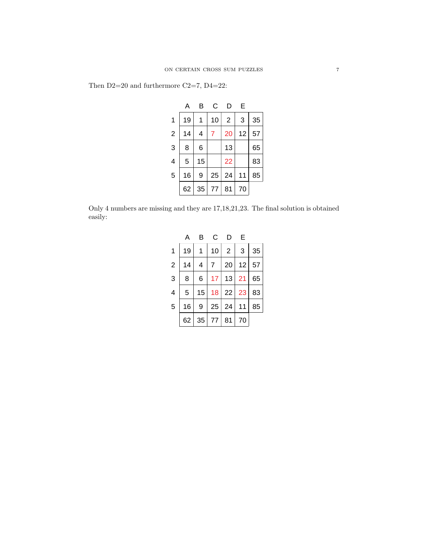|  | Then $D2=20$ and furthermore C2=7, D4=22: |  |  |  |  |
|--|-------------------------------------------|--|--|--|--|
|--|-------------------------------------------|--|--|--|--|

|                | Α  | B  | C  | D              | Е  |    |
|----------------|----|----|----|----------------|----|----|
| 1              | 19 |    | 10 | $\overline{2}$ | 3  | 35 |
| $\overline{2}$ | 14 | 4  | 7  | 20             | 12 | 57 |
| 3              | 8  | 6  |    | 13             |    | 65 |
| $\overline{4}$ | 5  | 15 |    | 22             |    | 83 |
| 5              | 16 | 9  | 25 | 24             | 11 | 85 |
|                | 62 | 35 | 77 | 81             | 70 |    |

Only 4 numbers are missing and they are 17,18,21,23. The final solution is obtained easily:

|                | А  | в  | C  | D              | E  |    |
|----------------|----|----|----|----------------|----|----|
| 1              | 19 | 1  | 10 | $\overline{2}$ | 3  | 35 |
| $\overline{2}$ | 14 | 4  | 7  | 20             | 12 | 57 |
| 3              | 8  | 6  | 17 | 13             | 21 | 65 |
| $\overline{4}$ | 5  | 15 | 18 | 22             | 23 | 83 |
| 5              | 16 | 9  | 25 | 24             | 11 | 85 |
|                | 62 | 35 | 77 | 81             | 70 |    |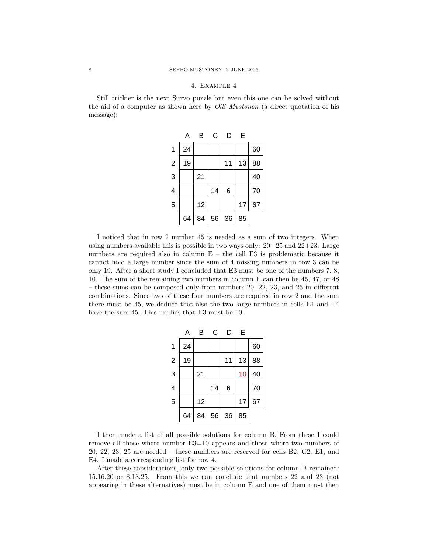## 4. Example 4

Still trickier is the next Survo puzzle but even this one can be solved without the aid of a computer as shown here by *Olli Mustonen* (a direct quotation of his message):

|                         | Α  | B  | С  | D  | E  |    |
|-------------------------|----|----|----|----|----|----|
| 1                       | 24 |    |    |    |    | 60 |
| $\overline{2}$          | 19 |    |    | 11 | 13 | 88 |
| 3                       |    | 21 |    |    |    | 40 |
| $\overline{\mathbf{4}}$ |    |    | 14 | 6  |    | 70 |
| 5                       |    | 12 |    |    | 17 | 67 |
|                         | 64 | 84 | 56 | 36 | 85 |    |

I noticed that in row 2 number 45 is needed as a sum of two integers. When using numbers available this is possible in two ways only:  $20+25$  and  $22+23$ . Large numbers are required also in column  $E$  – the cell E3 is problematic because it cannot hold a large number since the sum of 4 missing numbers in row 3 can be only 19. After a short study I concluded that E3 must be one of the numbers 7, 8, 10. The sum of the remaining two numbers in column E can then be 45, 47, or 48 – these sums can be composed only from numbers 20, 22, 23, and 25 in different combinations. Since two of these four numbers are required in row 2 and the sum there must be 45, we deduce that also the two large numbers in cells E1 and E4 have the sum 45. This implies that E3 must be 10.

|                         | Α  | B  | С  | D  | E  |    |
|-------------------------|----|----|----|----|----|----|
| $\overline{1}$          | 24 |    |    |    |    | 60 |
| $\overline{2}$          | 19 |    |    | 11 | 13 | 88 |
| 3                       |    | 21 |    |    | 10 | 40 |
| $\overline{\mathbf{4}}$ |    |    | 14 | 6  |    | 70 |
| 5                       |    | 12 |    |    | 17 | 67 |
|                         | 64 | 84 | 56 | 36 | 85 |    |

I then made a list of all possible solutions for column B. From these I could remove all those where number E3=10 appears and those where two numbers of 20, 22, 23, 25 are needed – these numbers are reserved for cells B2, C2, E1, and E4. I made a corresponding list for row 4.

After these considerations, only two possible solutions for column B remained: 15,16,20 or 8,18,25. From this we can conclude that numbers 22 and 23 (not appearing in these alternatives) must be in column E and one of them must then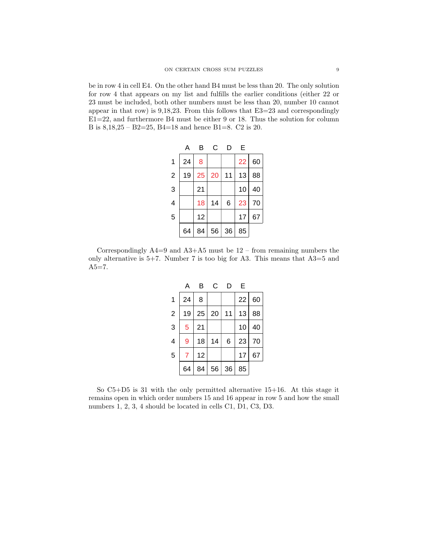be in row 4 in cell E4. On the other hand B4 must be less than 20. The only solution for row 4 that appears on my list and fulfills the earlier conditions (either 22 or 23 must be included, both other numbers must be less than 20, number 10 cannot appear in that row) is 9,18,23. From this follows that E3=23 and correspondingly E1=22, and furthermore B4 must be either 9 or 18. Thus the solution for column B is 8,18,25 – B2=25, B4=18 and hence B1=8. C2 is 20.

|                | А  | B  | C  | D  | E  |    |
|----------------|----|----|----|----|----|----|
| $\mathbf 1$    | 24 | 8  |    |    | 22 | 60 |
| $\overline{2}$ | 19 | 25 | 20 | 11 | 13 | 88 |
| 3              |    | 21 |    |    | 10 | 40 |
| 4              |    | 18 | 14 | 6  | 23 | 70 |
| 5              |    | 12 |    |    | 17 | 67 |
|                | 64 | 84 | 56 | 36 | 85 |    |

Correspondingly  $A4=9$  and  $A3+A5$  must be  $12$  – from remaining numbers the only alternative is  $5+7$ . Number 7 is too big for A3. This means that  $A3=5$  and  $A5 = 7.$ 

|                | А  | B  | C  | D  | E  |    |
|----------------|----|----|----|----|----|----|
| 1              | 24 | 8  |    |    | 22 | 60 |
| $\overline{2}$ | 19 | 25 | 20 | 11 | 13 | 88 |
| 3              | 5  | 21 |    |    | 10 | 40 |
| $\overline{4}$ | 9  | 18 | 14 | 6  | 23 | 70 |
| 5              | 7  | 12 |    |    | 17 | 67 |
|                | 64 | 84 | 56 | 36 | 85 |    |

So C5+D5 is 31 with the only permitted alternative 15+16. At this stage it remains open in which order numbers 15 and 16 appear in row 5 and how the small numbers 1, 2, 3, 4 should be located in cells C1, D1, C3, D3.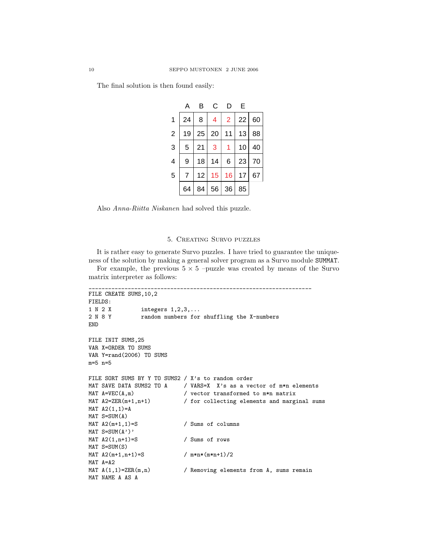The final solution is then found easily:

|                | Α  | в  | C  | D              | E  |    |
|----------------|----|----|----|----------------|----|----|
| $\mathbf{1}$   | 24 | 8  | 4  | $\overline{2}$ | 22 | 60 |
| $\overline{2}$ | 19 | 25 | 20 | 11             | 13 | 88 |
| 3              | 5  | 21 | 3  | 1              | 10 | 40 |
| $\overline{4}$ | 9  | 18 | 14 | 6              | 23 | 70 |
| 5              | 7  | 12 | 15 | 16             | 17 | 67 |
|                | 64 | 84 | 56 | 36             | 85 |    |

Also *Anna-Riitta Niskanen* had solved this puzzle.

## 5. Creating Survo puzzles

It is rather easy to generate Survo puzzles. I have tried to guarantee the uniqueness of the solution by making a general solver program as a Survo module SUMMAT.

For example, the previous  $5 \times 5$  –puzzle was created by means of the Survo matrix interpreter as follows:

```
____________________________________________________________________
FILE CREATE SUMS,10,2
FIELDS:
1 N 2 X integers 1,2,3,...
2 N 8 Y random numbers for shuffling the X-numbers
END
FILE INIT SUMS,25
VAR X=ORDER TO SUMS
VAR Y=rand(2006) TO SUMS
m=5 n=5
FILE SORT SUMS BY Y TO SUMS2 / X's to random order
MAT SAVE DATA SUMS2 TO A \prime VARS=X X's as a vector of m*n elements
MAT A=VEC(A,m) / vector transformed to m*n matrix
MAT A2=ZER(m+1,n+1) / for collecting elements and marginal sums
MAT A2(1,1)=AMAT S=SUM(A)
MAT A2(m+1,1)=S / Sums of columns
MAT S=SUM(A')'
MAT A2(1, n+1)=S / Sums of rows
MAT S=SUM(S)
MAT A2(m+1,n+1)=S / m*n*(m*n+1)/2MAT A=A2
MAT A(1,1)=ZER(m,n) / Removing elements from A, sums remain
MAT NAME A AS A
```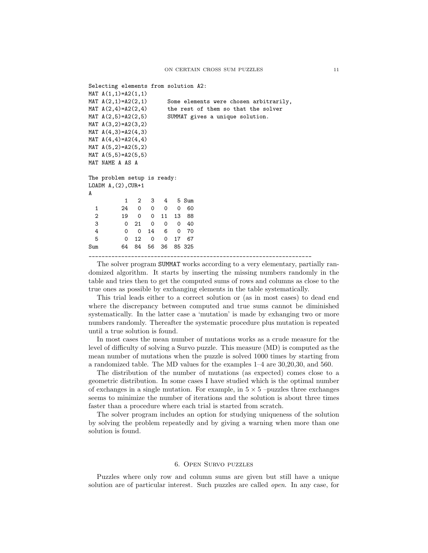```
Selecting elements from solution A2:
MAT A(1,1)=A2(1,1)MAT A(2,1)=A2(2,1) Some elements were chosen arbitrarily,
MAT A(2,4)=A2(2,4) the rest of them so that the solver
MAT A(2,5)=A2(2,5) SUMMAT gives a unique solution.
MAT A(3,2)=A2(3,2)
MAT A(4,3)=A2(4,3)MAT A(4,4)=A2(4,4)MAT A(5,2)=A2(5,2)MAT A(5,5)=A2(5,5)MAT NAME A AS A
The problem setup is ready:
LOADM A, (2), CUR+1
A
         1 2 3 4 5 Sum
  1 24 0 0 0 0 60
  2 19 0 0 11 13 88
  3 0 21 0 0 0 40
  4 0 0 14 6 0 70
  5 0 12 0 0 17 67
Sum 64 84 56 36 85 325
____________________________________________________________________
```
The solver program SUMMAT works according to a very elementary, partially randomized algorithm. It starts by inserting the missing numbers randomly in the table and tries then to get the computed sums of rows and columns as close to the true ones as possible by exchanging elements in the table systematically.

This trial leads either to a correct solution or (as in most cases) to dead end where the discrepancy between computed and true sums cannot be diminished systematically. In the latter case a 'mutation' is made by exhanging two or more numbers randomly. Thereafter the systematic procedure plus mutation is repeated until a true solution is found.

In most cases the mean number of mutations works as a crude measure for the level of difficulty of solving a Survo puzzle. This measure (MD) is computed as the mean number of mutations when the puzzle is solved 1000 times by starting from a randomized table. The MD values for the examples 1–4 are 30,20,30, and 560.

The distribution of the number of mutations (as expected) comes close to a geometric distribution. In some cases I have studied which is the optimal number of exchanges in a single mutation. For example, in  $5 \times 5$  –puzzles three exchanges seems to minimize the number of iterations and the solution is about three times faster than a procedure where each trial is started from scratch.

The solver program includes an option for studying uniqueness of the solution by solving the problem repeatedly and by giving a warning when more than one solution is found.

#### 6. Open Survo puzzles

Puzzles where only row and column sums are given but still have a unique solution are of particular interest. Such puzzles are called *open*. In any case, for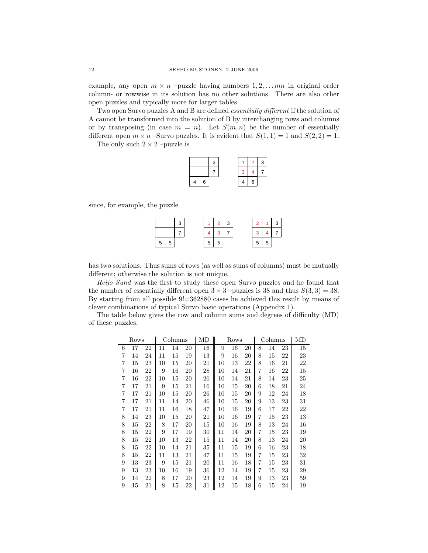example, any open  $m \times n$  –puzzle having numbers  $1, 2, \ldots mn$  in original order column- or rowwise in its solution has no other solutions. There are also other open puzzles and typically more for larger tables.

Two open Survo puzzles A and B are defined *essentially different* if the solution of A cannot be transformed into the solution of B by interchanging rows and columns or by transposing (in case  $m = n$ ). Let  $S(m, n)$  be the number of essentially different open  $m \times n$  –Survo puzzles. It is evident that  $S(1, 1) = 1$  and  $S(2, 2) = 1$ .

The only such  $2 \times 2$  –puzzle is

|   |   | 3 |   | $\mathbf{2}$ | 3 |
|---|---|---|---|--------------|---|
|   |   |   | з |              |   |
| Δ | 6 |   |   | 6            |   |

since, for example, the puzzle

|   | ີ |   | $\overline{2}$ | $\mathbf{3}$ |    | 3              |
|---|---|---|----------------|--------------|----|----------------|
|   |   |   |                |              |    | $\overline{7}$ |
| 5 |   | 5 |                |              | Ð. |                |

has two solutions. Thus sums of rows (as well as sums of columns) must be mutually different; otherwise the solution is not unique.

*Reijo Sund* was the first to study these open Survo puzzles and he found that the number of essentially different open  $3 \times 3$  –puzzles is 38 and thus  $S(3,3) = 38$ . By starting from all possible 9!=362880 cases he achieved this result by means of clever combinations of typical Survo basic operations (Appendix 1).

The table below gives the row and column sums and degrees of difficulty (MD) of these puzzles.

|   | Rows |    |    | Columns |    | MD |    | Rows |    | Columns |    |    | MD |
|---|------|----|----|---------|----|----|----|------|----|---------|----|----|----|
| 6 | 17   | 22 | 11 | 14      | 20 | 16 | 9  | 16   | 20 | 8       | 14 | 23 | 15 |
| 7 | 14   | 24 | 11 | 15      | 19 | 13 | 9  | 16   | 20 | 8       | 15 | 22 | 23 |
| 7 | 15   | 23 | 10 | 15      | 20 | 21 | 10 | 13   | 22 | 8       | 16 | 21 | 22 |
| 7 | 16   | 22 | 9  | 16      | 20 | 28 | 10 | 14   | 21 | 7       | 16 | 22 | 15 |
| 7 | 16   | 22 | 10 | 15      | 20 | 26 | 10 | 14   | 21 | 8       | 14 | 23 | 25 |
| 7 | 17   | 21 | 9  | 15      | 21 | 16 | 10 | 15   | 20 | 6       | 18 | 21 | 24 |
| 7 | 17   | 21 | 10 | 15      | 20 | 26 | 10 | 15   | 20 | 9       | 12 | 24 | 18 |
| 7 | 17   | 21 | 11 | 14      | 20 | 46 | 10 | 15   | 20 | 9       | 13 | 23 | 31 |
| 7 | 17   | 21 | 11 | 16      | 18 | 47 | 10 | 16   | 19 | 6       | 17 | 22 | 22 |
| 8 | 14   | 23 | 10 | 15      | 20 | 21 | 10 | 16   | 19 | 7       | 15 | 23 | 13 |
| 8 | 15   | 22 | 8  | 17      | 20 | 15 | 10 | 16   | 19 | 8       | 13 | 24 | 16 |
| 8 | 15   | 22 | 9  | 17      | 19 | 30 | 11 | 14   | 20 | 7       | 15 | 23 | 19 |
| 8 | 15   | 22 | 10 | 13      | 22 | 15 | 11 | 14   | 20 | 8       | 13 | 24 | 20 |
| 8 | 15   | 22 | 10 | 14      | 21 | 35 | 11 | 15   | 19 | 6       | 16 | 23 | 18 |
| 8 | 15   | 22 | 11 | 13      | 21 | 47 | 11 | 15   | 19 | 7       | 15 | 23 | 32 |
| 9 | 13   | 23 | 9  | 15      | 21 | 20 | 11 | 16   | 18 | 7       | 15 | 23 | 31 |
| 9 | 13   | 23 | 10 | 16      | 19 | 36 | 12 | 14   | 19 | 7       | 15 | 23 | 29 |
| 9 | 14   | 22 | 8  | 17      | 20 | 23 | 12 | 14   | 19 | 9       | 13 | 23 | 59 |
| 9 | 15   | 21 | 8  | 15      | 22 | 31 | 12 | 15   | 18 | 6       | 15 | 24 | 19 |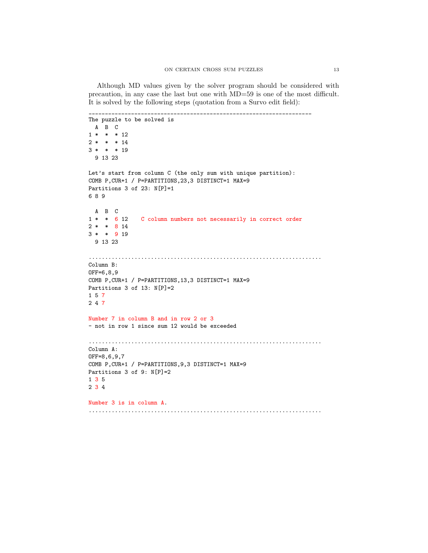Although MD values given by the solver program should be considered with precaution, in any case the last but one with MD=59 is one of the most difficult. It is solved by the following steps (quotation from a Survo edit field):

```
____________________________________________________________________
The puzzle to be solved is
  ABC
1 * * * 12
2 * * * 143 * * * 19
  9 13 23
Let's start from column C (the only sum with unique partition):
COMB P,CUR+1 / P=PARTITIONS,23,3 DISTINCT=1 MAX=9
Partitions 3 of 23: N[P]=1689
  ABC
1* * 6 12 C column numbers not necessarily in correct order
2 * * 8143* * 9 19
  9 13 23
.......................................................................
Column B:
OFF=6,8,9
COMB P,CUR+1 / P=PARTITIONS,13,3 DISTINCT=1 MAX=9
Partitions 3 of 13: N[P]=21 5 7
2 4 7
Number 7 in column B and in row 2 or 3
- not in row 1 since sum 12 would be exceeded
.......................................................................
Column A:
OFF=8,6,9,7
COMB P,CUR+1 / P=PARTITIONS,9,3 DISTINCT=1 MAX=9
Partitions 3 of 9: N[P]=2
1 3 5
2 3 4
Number 3 is in column A.
.......................................................................
```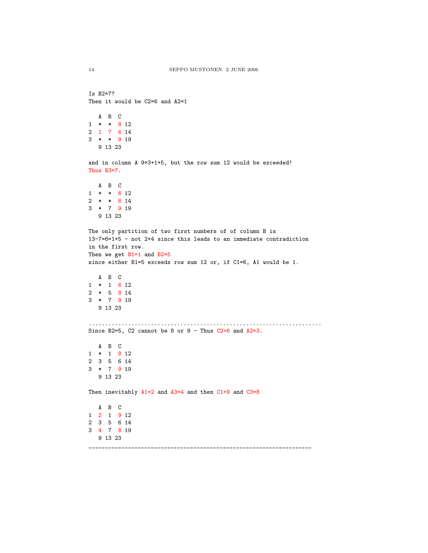```
Is B2=7?
Then it would be C2=6 and A2=1
```
ABC 1\*\* 8 12 2 176 14 3\*\* 9 19 9 13 23

and in column A 9=3+1+5, but the row sum 12 would be exceeded! Thus B3=7.

```
ABC
1 * * 6 122** 8 14
3*7 9 19
  9 13 23
```

```
The only partition of two first numbers of of column B is
13-7=6=1+5 - not 2+4 since this leads to an immediate contradiction
in the first row.
Then we get B1=1 and B2=5
```

```
since either B1=5 exceeds row sum 12 or, if C1=6, A1 would be 1.
```

```
ABC
1 * 1 6 122 * 5 8 143*7 9 19
  9 13 23
```

```
.......................................................................
Since B2=5, C2 cannot be 8 or 9 - Thus C2=6 and A2=3.
```

```
ABC
1 * 1 8 122 3 5 6 14
3*7 9 19
  9 13 23
```
Then inevitably  $A1=2$  and  $A3=4$  and then  $C1=9$  and  $C3=8$ 

```
ABC
1 2 1 9 12
2 3 5 6 14
3 4 7 8 19
  9 13 23
____________________________________________________________________
```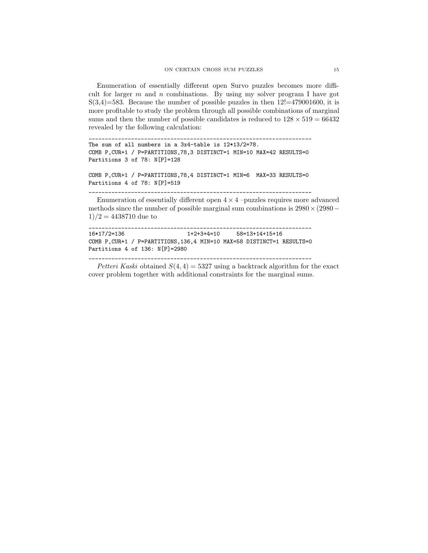Enumeration of essentially different open Survo puzzles becomes more difficult for larger  $m$  and  $n$  combinations. By using my solver program I have got  $S(3,4)=583$ . Because the number of possible puzzles in then  $12!=479001600$ , it is more profitable to study the problem through all possible combinations of marginal sums and then the number of possible candidates is reduced to  $128 \times 519 = 66432$ revealed by the following calculation:

\_\_\_\_\_\_\_\_\_\_\_\_\_\_\_\_\_\_\_\_\_\_\_\_\_\_\_\_\_\_\_\_\_\_\_\_\_\_\_\_\_\_\_\_\_\_\_\_\_\_\_\_\_\_\_\_\_\_\_\_\_\_\_\_\_\_\_\_

```
The sum of all numbers in a 3x4-table is 12*13/2=78.
COMB P,CUR+1 / P=PARTITIONS,78,3 DISTINCT=1 MIN=10 MAX=42 RESULTS=0
Partitions 3 of 78: N[P]=128
```

```
COMB P,CUR+1 / P=PARTITIONS,78,4 DISTINCT=1 MIN=6 MAX=33 RESULTS=0
Partitions 4 of 78: N[P]=519
____________________________________________________________________
```
Enumeration of essentially different open  $4 \times 4$  –puzzles requires more advanced methods since the number of possible marginal sum combinations is  $2980\times(2980 1)/2 = 4438710$  due to

```
____________________________________________________________________
16*17/2=136 1+2+3+4=10 58=13+14+15+16
COMB P,CUR+1 / P=PARTITIONS,136,4 MIN=10 MAX=58 DISTINCT=1 RESULTS=0
Partitions 4 of 136: N[P]=2980
```
*Petteri Kaski* obtained  $S(4, 4) = 5327$  using a backtrack algorithm for the exact cover problem together with additional constraints for the marginal sums.

\_\_\_\_\_\_\_\_\_\_\_\_\_\_\_\_\_\_\_\_\_\_\_\_\_\_\_\_\_\_\_\_\_\_\_\_\_\_\_\_\_\_\_\_\_\_\_\_\_\_\_\_\_\_\_\_\_\_\_\_\_\_\_\_\_\_\_\_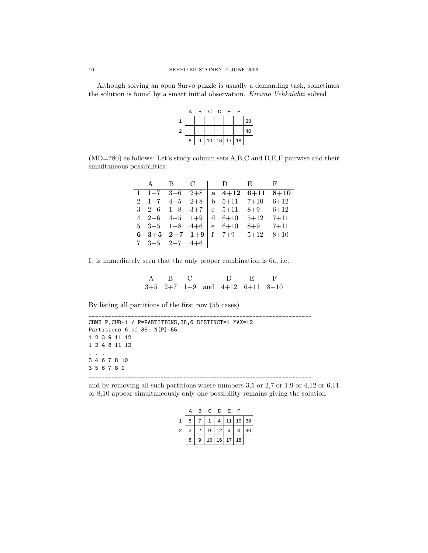Although solving an open Survo puzzle is usually a demanding task, sometimes the solution is found by a smart initial observation. *Kimmo Vehkalahti* solved

|                | A | В | $\mathbf{C}$ | D          | E. | F  |    |
|----------------|---|---|--------------|------------|----|----|----|
| 1              |   |   |              |            |    |    | 38 |
| $\overline{2}$ |   |   |              |            |    |    | 40 |
|                | 8 | 9 |              | $10$ 16 17 |    | 18 |    |

(MD=780) as follows: Let's study column sets A,B,C and D,E,F pairwise and their simultaneous possibilities:

|  |                                |  | A B C I D E F                    |  |
|--|--------------------------------|--|----------------------------------|--|
|  |                                |  | 1 1+7 3+6 2+8   a 4+12 6+11 8+10 |  |
|  |                                |  | 2 1+7 4+5 2+8 b 5+11 7+10 6+12   |  |
|  |                                |  | 3 2+6 1+8 3+7 c 5+11 8+9 6+12    |  |
|  | 4 2+6 4+5 1+9 d 6+10           |  | $5+12$ $7+11$                    |  |
|  | 5 3+5 1+8 4+6 e 6+10           |  | $8+9$ $7+11$                     |  |
|  |                                |  | 6 3+5 2+7 1+9 f 7+9 $5+12$ 8+10  |  |
|  | $7\quad 3+5\quad 2+7\quad 4+6$ |  |                                  |  |

It is immediately seen that the only proper combination is 6a, i.e.

ABC D E F 3+5 2+7 1+9 and 4+12 6+11 8+10

By listing all partitions of the first row (55 cases)

\_\_\_\_\_\_\_\_\_\_\_\_\_\_\_\_\_\_\_\_\_\_\_\_\_\_\_\_\_\_\_\_\_\_\_\_\_\_\_\_\_\_\_\_\_\_\_\_\_\_\_\_\_\_\_\_\_\_\_\_\_\_\_\_\_\_\_\_ COMB P,CUR+1 / P=PARTITIONS,38,6 DISTINCT=1 MAX=12 Partitions 6 of 38: N[P]=55 1 2 3 9 11 12 1 2 4 8 11 12 ... 3 4 6 7 8 10 356789 \_\_\_\_\_\_\_\_\_\_\_\_\_\_\_\_\_\_\_\_\_\_\_\_\_\_\_\_\_\_\_\_\_\_\_\_\_\_\_\_\_\_\_\_\_\_\_\_\_\_\_\_\_\_\_\_\_\_\_\_\_\_\_\_\_\_\_\_

and by removing all such partitions where numbers 3,5 or 2,7 or 1,9 or 4,12 or 6,11 or 8,10 appear simultaneously only one possibility remains giving the solution

|                | А | В              | C. | D     | F.     | F  |         |
|----------------|---|----------------|----|-------|--------|----|---------|
|                | 5 |                |    | 4     | 11     |    | $10$ 38 |
| $\overline{2}$ | 3 | $\overline{2}$ | 9  |       | $12$ 6 | 8  | 40      |
|                | 8 | 9              | 10 | 16 17 |        | 18 |         |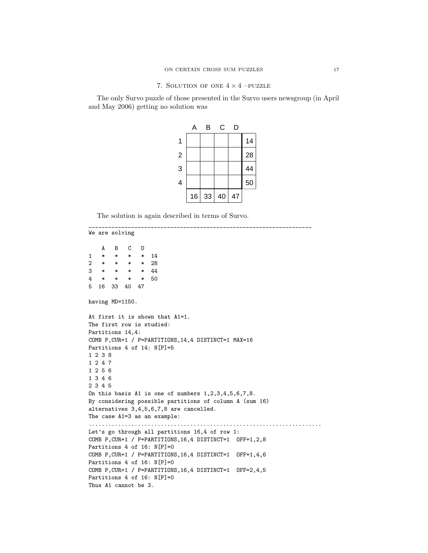### 7. SOLUTION OF ONE  $4 \times 4$  –PUZZLE

The only Survo puzzle of those presented in the Survo users newsgroup (in April and May 2006) getting no solution was

|                | А  | В  | С  | D  |    |
|----------------|----|----|----|----|----|
| 1              |    |    |    |    | 14 |
| $\overline{c}$ |    |    |    |    | 28 |
| 3              |    |    |    |    | 44 |
| 4              |    |    |    |    | 50 |
|                | 16 | 33 | 40 | 47 |    |

The solution is again described in terms of Survo.

```
____________________________________________________________________
We are solving
    ABCD
1 * * * * 14
2 * * * * 28
3 * * * * 44
4 * * * * 50
5 16 33 40 47
having MD=1150.
At first it is shown that A1=1.
The first row is studied:
Partitions 14,4:
COMB P,CUR+1 / P=PARTITIONS,14,4 DISTINCT=1 MAX=16
Partitions 4 of 14: N[P]=51238
1247
1256
1346
2345
On this basis A1 is one of numbers 1,2,3,4,5,6,7,8.
By considering possible partitions of column A (sum 16)
alternatives 3,4,5,6,7,8 are cancelled.
The case A1=3 as an example:
.......................................................................
Let's go through all partitions 16,4 of row 1:
COMB P,CUR+1 / P=PARTITIONS,16,4 DISTINCT=1 OFF=1,2,8
Partitions 4 of 16: N[P]=0
COMB P,CUR+1 / P=PARTITIONS,16,4 DISTINCT=1 OFF=1,4,6
Partitions 4 of 16: N[P]=0
COMB P,CUR+1 / P=PARTITIONS,16,4 DISTINCT=1 OFF=2,4,5
Partitions 4 of 16: N[P]=0
Thus A1 cannot be 3.
```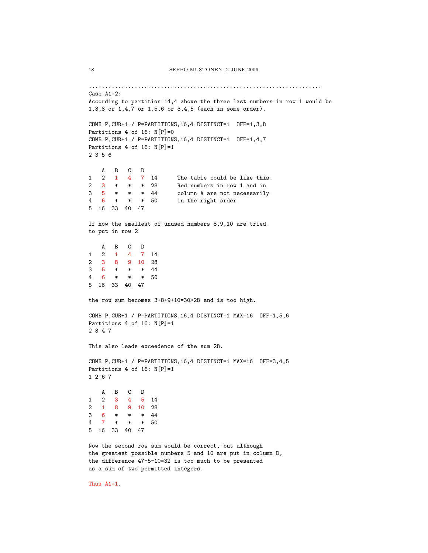```
.......................................................................
Case A1=2:
According to partition 14,4 above the three last numbers in row 1 would be
1,3,8 or 1,4,7 or 1,5,6 or 3,4,5 (each in some order).
COMB P,CUR+1 / P=PARTITIONS,16,4 DISTINCT=1 OFF=1,3,8
Partitions 4 of 16: N[P]=0COMB P,CUR+1 / P=PARTITIONS,16,4 DISTINCT=1 OFF=1,4,7
Partitions 4 of 16: N[P]=1
2356
   ABCD
1 2 1 4 7 14 The table could be like this.
2 3 * * * 28 Red numbers in row 1 and in
3 5 * * * 44 column A are not necessarily
4 6 * * * 50 in the right order.
5 16 33 40 47
If now the smallest of unused numbers 8,9,10 are tried
to put in row 2
   ABCD
1 2 147 14
2 3 8 9 10 28<br>3 5 * * * 44
3 5 * * * 44
4 6 * * * 50
5 16 33 40 47
the row sum becomes 3+8+9+10=30>28 and is too high.
COMB P,CUR+1 / P=PARTITIONS,16,4 DISTINCT=1 MAX=16 OFF=1,5,6
Partitions 4 of 16: N[P]=1
2347
This also leads exceedence of the sum 28.
COMB P,CUR+1 / P=PARTITIONS,16,4 DISTINCT=1 MAX=16 OFF=3,4,5
Partitions 4 of 16: N[P]=11267
   ABCD
1 2 345 14
2 1 8 9 10 28
3 6 * * * 44
4 7 * * * 50
5 16 33 40 47
Now the second row sum would be correct, but although
the greatest possible numbers 5 and 10 are put in column D,
the difference 47-5-10=32 is too much to be presented
as a sum of two permitted integers.
```
Thus A1=1.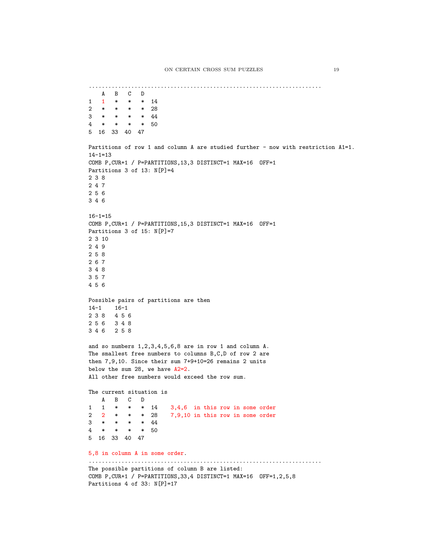```
.......................................................................
  ABCD
1 1 * * * 14
2 * * * * 28
3 * * * * 44
4 * * * * 50
5 16 33 40 47
Partitions of row 1 and column A are studied further - now with restriction A1=1.
14 - 1 = 13COMB P,CUR+1 / P=PARTITIONS,13,3 DISTINCT=1 MAX=16 OFF=1
Partitions 3 of 13: N[P]=4238
247
256
346
16-1=15
COMB P,CUR+1 / P=PARTITIONS,15,3 DISTINCT=1 MAX=16 OFF=1
Partitions 3 of 15: N[P]=7
2 3 10
249
258
267
348
357
456
Possible pairs of partitions are then
14-1 16-1
238 456
256 348
346 258
and so numbers 1,2,3,4,5,6,8 are in row 1 and column A.
The smallest free numbers to columns B,C,D of row 2 are
then 7,9,10. Since their sum 7+9+10=26 remains 2 units
below the sum 28, we have A2=2.
All other free numbers would exceed the row sum.
The current situation is
  ABCD
1 1 * * * 14 3,4,6 in this row in some order
2 2 * * * 28 7,9,10 in this row in some order
3 * * * * 44
4 * * * * 50
5 16 33 40 47
5,8 in column A in some order.
.......................................................................
The possible partitions of column B are listed:
COMB P,CUR+1 / P=PARTITIONS,33,4 DISTINCT=1 MAX=16 OFF=1,2,5,8
Partitions 4 of 33: N[P]=17
```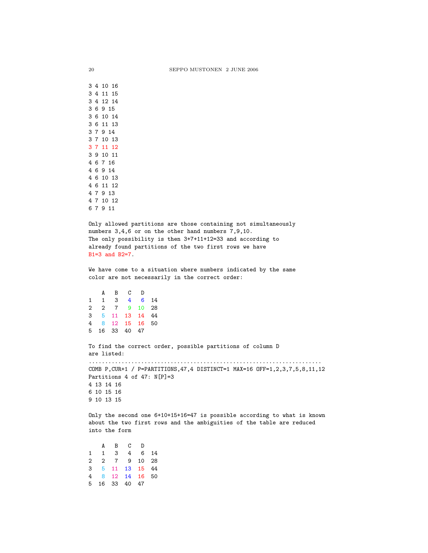Only allowed partitions are those containing not simultaneously numbers 3,4,6 or on the other hand numbers 7,9,10. The only possibility is then 3+7+11+12=33 and according to already found partitions of the two first rows we have B1=3 and B2=7.

We have come to a situation where numbers indicated by the same color are not necessarily in the correct order:

ABCD 113 4 6 14 227 9 10 28 3 5 11 13 14 44 4 8 12 15 16 50 5 16 33 40 47

To find the correct order, possible partitions of column D are listed:

....................................................................... COMB P,CUR+1 / P=PARTITIONS,47,4 DISTINCT=1 MAX=16 OFF=1,2,3,7,5,8,11,12 Partitions 4 of 47: N[P]=3 4 13 14 16 6 10 15 16 9 10 13 15

Only the second one 6+10+15+16=47 is possible according to what is known about the two first rows and the ambiguities of the table are reduced into the form

ABCD 1 1 3 4 6 14 2 2 7 9 10 28 3 5 11 13 15 44 4 8 12 14 16 50 5 16 33 40 47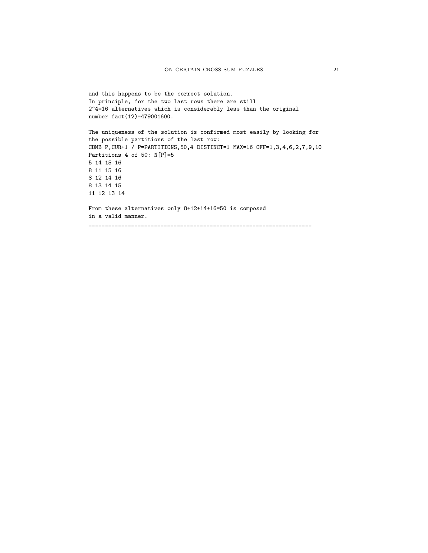```
and this happens to be the correct solution.
In principle, for the two last rows there are still
2^4=16 alternatives which is considerably less than the original
number fact(12)=479001600.
The uniqueness of the solution is confirmed most easily by looking for
the possible partitions of the last row:
COMB P,CUR+1 / P=PARTITIONS,50,4 DISTINCT=1 MAX=16 OFF=1,3,4,6,2,7,9,10
Partitions 4 of 50: N[P]=5
5 14 15 16
8 11 15 16
8 12 14 16
8 13 14 15
11 12 13 14
From these alternatives only 8+12+14+16=50 is composed
in a valid manner.
____________________________________________________________________
```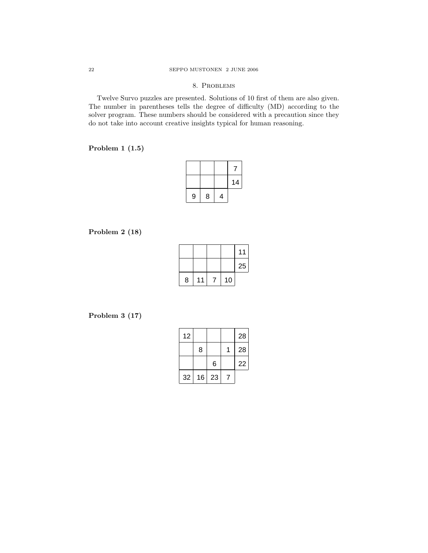## 8. Problems

Twelve Survo puzzles are presented. Solutions of 10 first of them are also given. The number in parentheses tells the degree of difficulty (MD) according to the solver program. These numbers should be considered with a precaution since they do not take into account creative insights typical for human reasoning.

## **Problem 1 (1.5)**

|   |   |   | 14 |
|---|---|---|----|
| 9 | 8 | 4 |    |

## **Problem 2 (18)**

|   |    |    | 11 |
|---|----|----|----|
|   |    |    | 25 |
| 8 | 11 | 10 |    |

## **Problem 3 (17)**

| 12 |    |    | 28 |
|----|----|----|----|
|    | 8  |    | 28 |
|    |    | 6  | 22 |
| 32 | 16 | 23 |    |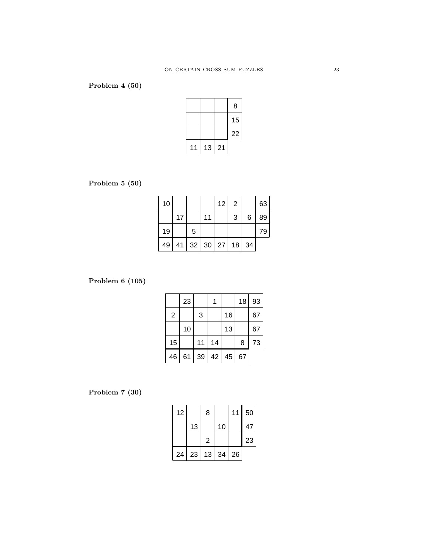# **Problem 4 (50)**

|    |    |    | 8  |
|----|----|----|----|
|    |    |    | 15 |
|    |    |    | 22 |
| 11 | 13 | 21 |    |

# **Problem 5 (50)**

| 10 |    |                                   |    | 12 | 2 |         | 63 |
|----|----|-----------------------------------|----|----|---|---------|----|
|    | 17 |                                   | 11 |    | 3 | 6       | 89 |
| 19 |    | 5                                 |    |    |   |         | 79 |
| 49 |    | $41 \mid 32 \mid 30 \mid 27 \mid$ |    |    |   | $18$ 34 |    |

## **Problem 6 (105)**

|                | 23 |    |    |    | 18 | 93 |
|----------------|----|----|----|----|----|----|
| $\overline{2}$ |    | 3  |    | 16 |    | 67 |
|                | 10 |    |    | 13 |    | 67 |
| 15             |    | 11 | 14 |    | 8  | 73 |
| 46             | 61 | 39 | 42 | 45 | 67 |    |

# **Problem 7 (30)**

| 12 |    | 8              |    | 11 | 50 |
|----|----|----------------|----|----|----|
|    | 13 |                | 10 |    | 47 |
|    |    | $\overline{2}$ |    |    | 23 |
| 24 | 23 | 13             | 34 | 26 |    |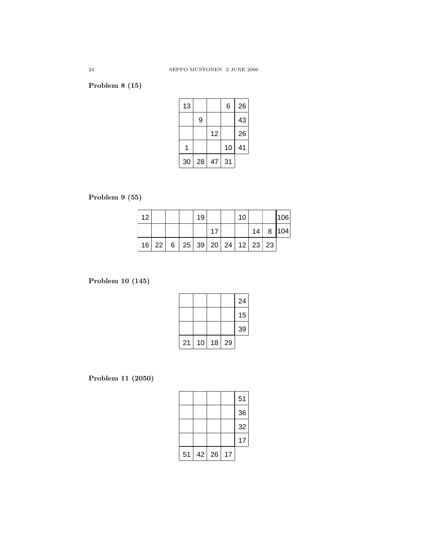# **Problem 8 (15)**

| 13 |    |    | 6  | 26 |
|----|----|----|----|----|
|    | 9  |    |    | 43 |
|    |    | 12 |    | 26 |
| 1  |    |    | 10 | 41 |
| 30 | 28 | 47 | 31 |    |

# **Problem 9 (55)**

| 12 |  |                                | 19 |  | 10 |  | 106            |
|----|--|--------------------------------|----|--|----|--|----------------|
|    |  |                                |    |  |    |  | $14$ 8 $ 104 $ |
|    |  | $16$ 22 6 25 39 20 24 12 23 23 |    |  |    |  |                |

# **Problem 10 (145)**

|    |    |    |    | 24 |
|----|----|----|----|----|
|    |    |    |    | 15 |
|    |    |    |    | 39 |
| 21 | 10 | 18 | 29 |    |

# **Problem 11 (2050)**

|    |    |    |    | 51 |
|----|----|----|----|----|
|    |    |    |    | 36 |
|    |    |    |    | 32 |
|    |    |    |    | 17 |
| 51 | 42 | 26 | 17 |    |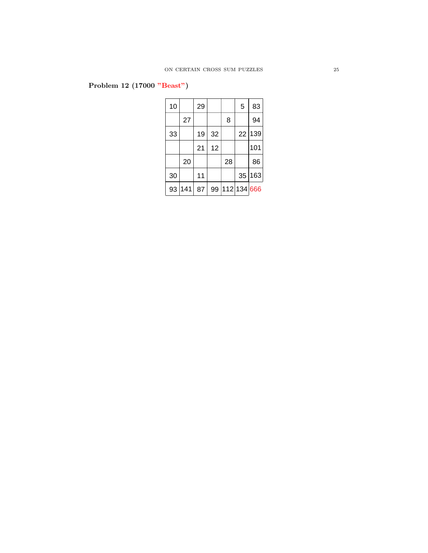# **Problem 12 (17000 "Beast")**

| 10 |     | 29 |    |    | 5           | 83  |
|----|-----|----|----|----|-------------|-----|
|    | 27  |    |    | 8  |             | 94  |
| 33 |     | 19 | 32 |    | 22          | 139 |
|    |     | 21 | 12 |    |             | 101 |
|    | 20  |    |    | 28 |             | 86  |
| 30 |     | 11 |    |    | 35          | 163 |
| 93 | 141 | 87 | 99 |    | 112 134 666 |     |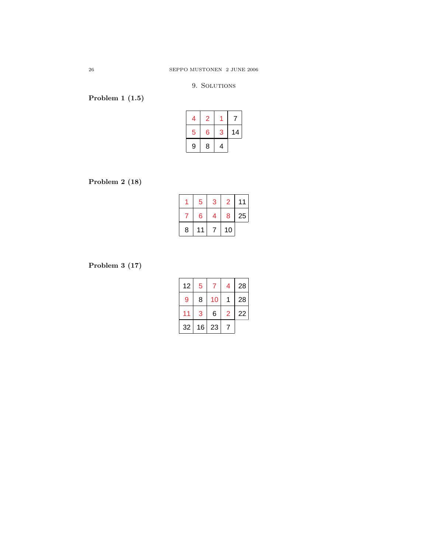## 9. SOLUTIONS

# **Problem 1 (1.5)**

| 4 |   |   |    |
|---|---|---|----|
| 5 | 6 | 3 | 14 |
| 9 | 8 | 4 |    |

**Problem 2 (18)**

|   | 5  | 3 | 2  |    |
|---|----|---|----|----|
|   | 6  | 4 | 8  | 25 |
| 8 | 11 |   | 10 |    |

**Problem 3 (17)**

| 12 | 5  |    | 4 | 28 |
|----|----|----|---|----|
| 9  | 8  | 10 |   | 28 |
|    | 3  | 6  | 2 | 22 |
| 32 | 16 | 23 |   |    |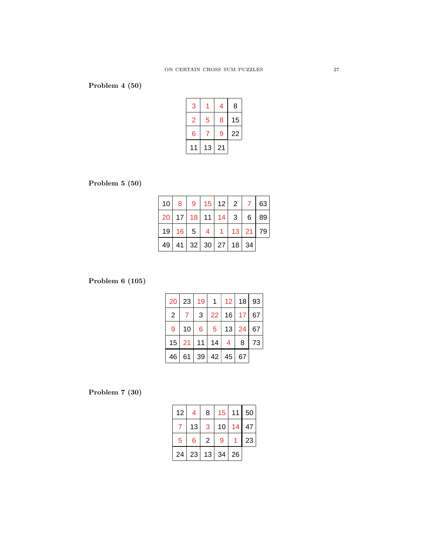# **Problem 4 (50)**

| 3  |    | 4  | 8  |
|----|----|----|----|
| 2  | 5  | 8  | 15 |
| 6  |    | 9  | 22 |
| 11 | 13 | 21 |    |

## **Problem 5 (50)**

| 10   8   9   15   12   2   7   63   |  |                      |  |  |
|-------------------------------------|--|----------------------|--|--|
| 20   17   18   11   14   3   6   89 |  |                      |  |  |
| 19   16   5   4   1   13   21   79  |  |                      |  |  |
|                                     |  | 49 41 32 30 27 18 34 |  |  |

## **Problem 6 (105)**

| 20             | 23           | 19              | $\mathbf{1}$   | 12 <sup>1</sup> |                 | $18$   93 |
|----------------|--------------|-----------------|----------------|-----------------|-----------------|-----------|
| $\overline{2}$ | $\mathbf{7}$ | 3               |                | 22 16           | 17 <sub>2</sub> | 67        |
| 9              | 10           | $6\overline{6}$ | $\overline{5}$ | 13              | 24              | 67        |
| 15             | 21           | 11              | 14             | 4               | 8               | 73        |
| 46             |              | 61   39         | 42             | 45              | 67              |           |

# **Problem 7 (30)**

| 12 <sub>2</sub> | 4  | 8  | 15 <sub>1</sub> | 11 | 50 |
|-----------------|----|----|-----------------|----|----|
|                 | 13 | 3  | 10              | 14 | 47 |
| 5               | 6  | 2  | 9               |    | 23 |
| 24              | 23 | 13 | 34              | 26 |    |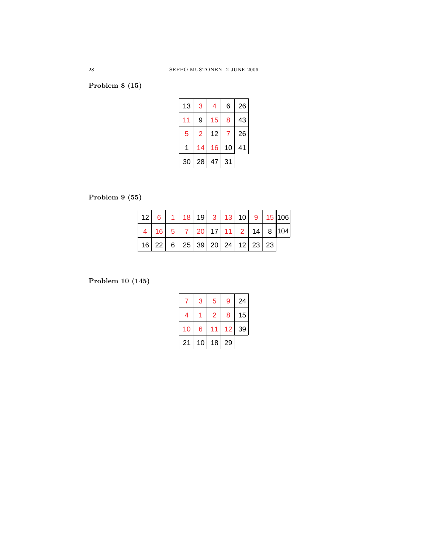# **Problem 8 (15)**

| 13 | 3  | 4  | 6  | 26 |
|----|----|----|----|----|
| 11 | 9  | 15 | 8  | 43 |
| 5  | 2  | 12 | 7  | 26 |
|    | 14 | 16 | 10 | 41 |
| 30 | 28 | 47 | 31 |    |

# **Problem 9 (55)**

|  | │12│ 6│ 1│18│19│ 3│13│10│ 9│15│106│                |  |  |  |  |
|--|----------------------------------------------------|--|--|--|--|
|  | $4   16   5   7   20   17   11   2   14   8   104$ |  |  |  |  |
|  | 16   22   6   25   39   20   24   12   23   23     |  |  |  |  |

## **Problem 10 (145)**

|    | 3  | 5  | 9  | 24 |
|----|----|----|----|----|
| 4  |    | 2  | 8  | 15 |
| 10 | 6  |    | 12 | 39 |
| 21 | 10 | 18 | 29 |    |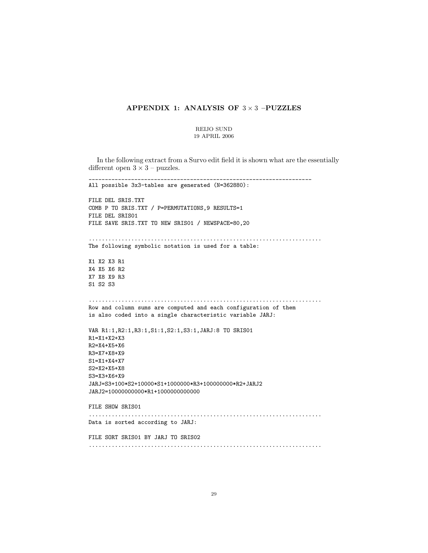## **APPENDIX 1: ANALYSIS OF** 3 × 3 **–PUZZLES**

#### REIJO SUND 19 APRIL 2006

In the following extract from a Survo edit field it is shown what are the essentially different open  $3 \times 3$  – puzzles.

\_\_\_\_\_\_\_\_\_\_\_\_\_\_\_\_\_\_\_\_\_\_\_\_\_\_\_\_\_\_\_\_\_\_\_\_\_\_\_\_\_\_\_\_\_\_\_\_\_\_\_\_\_\_\_\_\_\_\_\_\_\_\_\_\_\_\_\_ All possible 3x3-tables are generated (N=362880): FILE DEL SRIS.TXT COMB P TO SRIS.TXT / P=PERMUTATIONS,9 RESULTS=1 FILE DEL SRIS01 FILE SAVE SRIS.TXT TO NEW SRIS01 / NEWSPACE=80,20 ....................................................................... The following symbolic notation is used for a table: X1 X2 X3 R1 X4 X5 X6 R2 X7 X8 X9 R3 S1 S2 S3 ....................................................................... Row and column sums are computed and each configuration of them is also coded into a single characteristic variable JARJ: VAR R1:1,R2:1,R3:1,S1:1,S2:1,S3:1,JARJ:8 TO SRIS01 R1=X1+X2+X3 R2=X4+X5+X6 R3=X7+X8+X9 S1=X1+X4+X7 S2=X2+X5+X8 S3=X3+X6+X9 JARJ=S3+100\*S2+10000\*S1+1000000\*R3+100000000\*R2+JARJ2 JARJ2=10000000000\*R1+1000000000000 FILE SHOW SRIS01 ....................................................................... Data is sorted according to JARJ: FILE SORT SRIS01 BY JARJ TO SRIS02 .......................................................................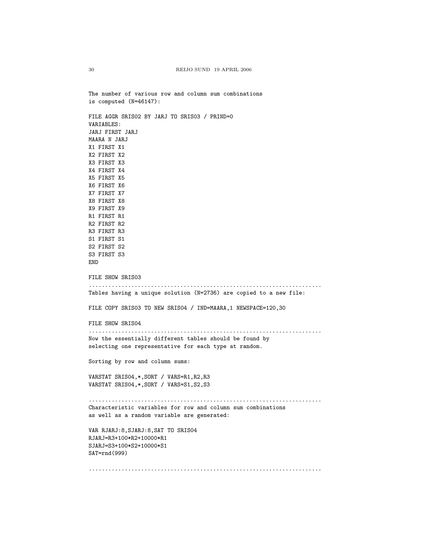The number of various row and column sum combinations is computed (N=46147): FILE AGGR SRIS02 BY JARJ TO SRIS03 / PRIND=0 VARIABLES: JARJ FIRST JARJ MAARA N JARJ X1 FIRST X1 X2 FIRST X2 X3 FIRST X3 X4 FIRST X4 X5 FIRST X5 X6 FIRST X6 X7 FIRST X7 X8 FIRST X8 X9 FIRST X9 R1 FIRST R1 R2 FIRST R2 R3 FIRST R3 S1 FIRST S1 S2 FIRST S2 S3 FIRST S3 END FILE SHOW SRIS03 ....................................................................... Tables having a unique solution (N=2736) are copied to a new file: FILE COPY SRIS03 TO NEW SRIS04 / IND=MAARA,1 NEWSPACE=120,30 FILE SHOW SRIS04 ....................................................................... Now the essentially different tables should be found by selecting one representative for each type at random. Sorting by row and column sums: VARSTAT SRIS04,\*,SORT / VARS=R1,R2,R3 VARSTAT SRIS04,\*,SORT / VARS=S1,S2,S3 ....................................................................... Characteristic variables for row and column sum combinations as well as a random variable are generated: VAR RJARJ:8,SJARJ:8,SAT TO SRIS04 RJARJ=R3+100\*R2+10000\*R1 SJARJ=S3+100\*S2+10000\*S1 SAT=rnd(999) .......................................................................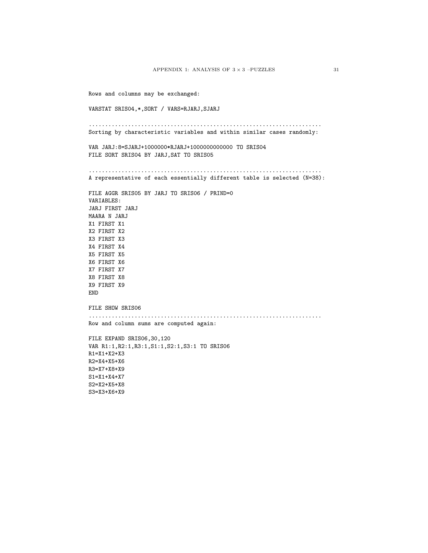Rows and columns may be exchanged: VARSTAT SRIS04,\*,SORT / VARS=RJARJ,SJARJ ....................................................................... Sorting by characteristic variables and within similar cases randomly: VAR JARJ:8=SJARJ+1000000\*RJARJ+1000000000000 TO SRIS04 FILE SORT SRIS04 BY JARJ,SAT TO SRIS05 ....................................................................... A representative of each essentially different table is selected (N=38): FILE AGGR SRIS05 BY JARJ TO SRIS06 / PRIND=0 VARIABLES: JARJ FIRST JARJ MAARA N JARJ X1 FIRST X1 X2 FIRST X2 X3 FIRST X3 X4 FIRST X4 X5 FIRST X5 X6 FIRST X6 X7 FIRST X7 X8 FIRST X8 X9 FIRST X9 END FILE SHOW SRIS06 ....................................................................... Row and column sums are computed again: FILE EXPAND SRIS06,30,120 VAR R1:1,R2:1,R3:1,S1:1,S2:1,S3:1 TO SRIS06 R1=X1+X2+X3 R2=X4+X5+X6 R3=X7+X8+X9 S1=X1+X4+X7 S2=X2+X5+X8 S3=X3+X6+X9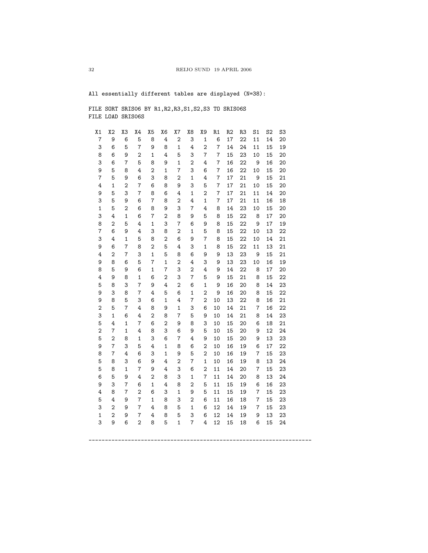All essentially different tables are displayed (N=38):

FILE SORT SRIS06 BY R1,R2,R3,S1,S2,S3 TO SRIS06S FILE LOAD SRIS06S

| X <sub>1</sub>      | X2                               | X3             | X4               | X5             | X6             | X7                  | X8                      | Χ9             | R1             | R <sub>2</sub> | R <sub>3</sub> | S <sub>1</sub> | S <sub>2</sub> | S3       |  |
|---------------------|----------------------------------|----------------|------------------|----------------|----------------|---------------------|-------------------------|----------------|----------------|----------------|----------------|----------------|----------------|----------|--|
| $\overline{7}$      | 9                                | 6              | 5                | 8              | 4              | $\boldsymbol{2}$    | 3                       | $\mathbf{1}$   | 6              | 17             | 22             | 11             | 14             | 20       |  |
| 3                   | 6                                | 5              | $\overline{7}$   | 9              | 8              | $\mathbf{1}$        | 4                       | $\overline{2}$ | $\overline{7}$ | 14             | 24             | 11             | 15             | 19       |  |
| 8                   | 6                                | 9              | 2                | 1              | 4              | 5                   | 3                       | $\overline{7}$ | 7              | 15             | 23             | 10             | 15             | 20       |  |
| 3                   | 6                                | 7              | 5                | 8              | 9              | $\mathbf 1$         | $\overline{\mathbf{c}}$ | 4              | 7              | 16             | 22             | 9              | 16             | 20       |  |
| 9                   | 5                                | 8              | 4                | $\overline{2}$ | $\mathbf 1$    | $\overline{7}$      | 3                       | 6              | 7              | 16             | 22             | 10             | 15             | 20       |  |
| 7                   | 5                                | 9              | 6                | 3              | 8              | $\overline{2}$      | $\mathbf{1}$            | 4              | 7              | 17             | 21             | 9              | 15             | 21       |  |
| 4                   | $\mathbf{1}$                     | $\overline{2}$ | 7                | 6              | 8              | 9                   | 3                       | 5              | 7              | 17             | 21             | 10             | 15             | 20       |  |
| 9                   | 5                                | 3              | $\overline{7}$   | 8              | 6              | 4                   | $\mathbf 1$             | $\overline{2}$ | 7              | 17             | 21             | 11             | 14             | 20       |  |
| 3                   | 5                                | 9              | 6                | 7              | 8              | $\overline{2}$      | 4                       | $\mathbf 1$    | 7              | 17             | 21             | 11             | 16             | 18       |  |
| 1                   | 5                                | 2              | 6                | 8              | 9              | 3                   | 7                       | 4              | 8              | 14             | 23             | 10             | 15             | 20       |  |
| 3                   | 4                                | $\mathbf 1$    | 6                | 7              | 2              | 8                   | 9                       | 5              | 8              | 15             | 22             | 8              | 17             | 20       |  |
| 8                   | $\overline{2}$                   | 5              | 4                | $\mathbf{1}$   | 3              | 7                   | 6                       | 9              | 8              | 15             | 22             | 9              | 17             | 19       |  |
| 7                   | 6                                | 9              | 4                | 3              | 8              | $\overline{2}$      | $\mathbf{1}$            | 5              | 8              | 15             | 22             | 10             | 13             | 22       |  |
| 3                   | 4                                | $\mathbf 1$    | 5                | 8              | $\overline{2}$ | 6                   | 9                       | $\overline{7}$ | 8              | 15             | 22             | 10             | 14             | 21       |  |
| 9                   | 6                                | 7              | 8                | $\overline{2}$ | 5              | 4                   | 3                       | $\mathbf{1}$   | 8              | 15             | 22             | 11             | 13             | 21       |  |
| 4                   | $\overline{2}$                   | $\overline{7}$ | 3                | $\mathbf{1}$   | 5              | 8                   | 6                       | 9              | 9              | 13             | 23             | 9              | 15             | 21       |  |
| 9                   | 8                                | 6              | 5                | 7              | $\mathbf 1$    | $\overline{2}$      | 4                       | 3              | 9              | 13             | 23             | 10             | 16             | 19       |  |
| 8                   | 5                                | 9              | 6                | $\mathbf{1}$   | 7              | 3                   | $\overline{2}$          | 4              | 9              | 14             | 22             | 8              | 17             | 20       |  |
| 4                   | 9                                | 8              | $\mathbf{1}$     | 6              | 2              | 3                   | $\overline{7}$          | 5              | 9              | 15             | 21             | 8              | 15             | 22       |  |
| 5                   | 8                                | 3              | 7                | 9              | 4              | $\overline{2}$      | 6                       | 1              | 9              | 16             | 20             | 8              | 14             | 23       |  |
| 9                   | 3                                | 8              | 7                | 4              | 5              | 6                   | $\mathbf 1$             | $\overline{2}$ | 9              | 16             | 20             | 8              | 15             | 22       |  |
| 9                   | 8                                | 5              | 3                | 6              | $\mathbf 1$    | 4                   | $\overline{7}$          | $\overline{2}$ | 10             | 13             | 22             | 8              | 16             | 21       |  |
| $\overline{c}$      | 5                                | $\overline{7}$ | 4                | 8              | 9              | $\mathbf{1}$        | 3                       | 6              | 10             | 14             | 21             | 7              | 16             | 22       |  |
| 3                   | $\mathbf{1}$                     | 6              | 4                | $\overline{2}$ | 8              | $\overline{7}$      | 5                       | 9              | 10             | 14             | 21             | 8              | 14             | 23       |  |
| 5                   | 4                                | $\mathbf{1}$   | 7                | 6              | $\overline{2}$ | 9                   | 8                       | 3<br>5         | 10             | 15             | 20             | 6              | 18             | 21       |  |
| $\overline{c}$<br>5 | $\overline{7}$<br>$\overline{2}$ | $\mathbf{1}$   | 4                | 8              | 3              | 6<br>$\overline{7}$ | 9                       |                | 10             | 15             | 20             | 9              | 12             | 24       |  |
| 9                   | $\overline{7}$                   | 8<br>3         | $\mathbf 1$<br>5 | 3<br>4         | 6<br>1         | 8                   | 4                       | 9<br>2         | 10<br>10       | 15             | 20<br>19       | 9<br>6         | 13<br>17       | 23<br>22 |  |
| 8                   | 7                                | 4              | 6                | 3              | $\mathbf{1}$   | 9                   | 6<br>5                  | $\overline{2}$ | 10             | 16<br>16       | 19             | 7              | 15             | 23       |  |
| 5                   | 8                                | 3              | 6                | 9              | 4              | $\overline{2}$      | $\overline{7}$          | 1              | 10             | 16             | 19             | 8              | 13             | 24       |  |
| 5                   | 8                                | $\mathbf 1$    | $\overline{7}$   | 9              | 4              | 3                   | 6                       | $\overline{2}$ | 11             | 14             | 20             | 7              | 15             | 23       |  |
| 6                   | 5                                | 9              | 4                | $\overline{2}$ | 8              | 3                   | $\mathbf{1}$            | $\overline{7}$ | 11             | 14             | 20             | 8              | 13             | 24       |  |
| 9                   | 3                                | $\overline{7}$ | 6                | $\mathbf{1}$   | 4              | 8                   | $\overline{2}$          | 5              | 11             | 15             | 19             | 6              | 16             | 23       |  |
| 4                   | 8                                | $\overline{7}$ | $\overline{2}$   | 6              | 3              | $\mathbf{1}$        | 9                       | 5              | 11             | 15             | 19             | 7              | 15             | 23       |  |
| 5                   | 4                                | 9              | $\overline{7}$   | $\mathbf{1}$   | 8              | 3                   | $\overline{2}$          | 6              | 11             | 16             | 18             | $\overline{7}$ | 15             | 23       |  |
| 3                   | $\overline{2}$                   | 9              | $\overline{7}$   | 4              | 8              | 5                   | $\mathbf{1}$            | 6              | 12             | 14             | 19             | $\overline{7}$ | 15             | 23       |  |
| $\mathbf{1}$        | $\overline{2}$                   | 9              | 7                | 4              | 8              | 5                   | 3                       | 6              | 12             | 14             | 19             | 9              | 13             | 23       |  |
| 3                   | 9                                | 6              | $\overline{2}$   | 8              | 5              | $\mathbf{1}$        | $\overline{7}$          | 4              | 12             | 15             | 18             | 6              | 15             | 24       |  |
|                     |                                  |                |                  |                |                |                     |                         |                |                |                |                |                |                |          |  |
|                     |                                  |                |                  |                |                |                     |                         |                |                |                |                |                |                |          |  |

\_\_\_\_\_\_\_\_\_\_\_\_\_\_\_\_\_\_\_\_\_\_\_\_\_\_\_\_\_\_\_\_\_\_\_\_\_\_\_\_\_\_\_\_\_\_\_\_\_\_\_\_\_\_\_\_\_\_\_\_\_\_\_\_\_\_\_\_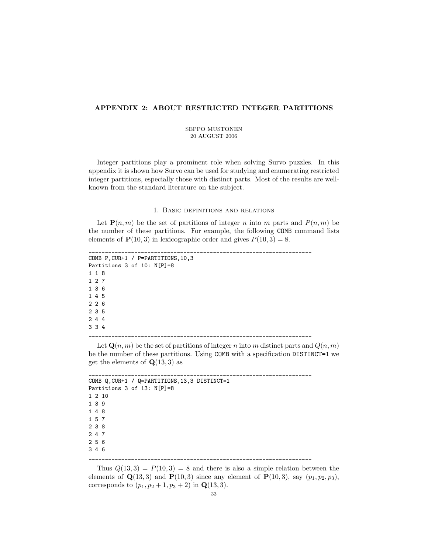## **APPENDIX 2: ABOUT RESTRICTED INTEGER PARTITIONS**

#### SEPPO MUSTONEN 20 AUGUST 2006

Integer partitions play a prominent role when solving Survo puzzles. In this appendix it is shown how Survo can be used for studying and enumerating restricted integer partitions, especially those with distinct parts. Most of the results are wellknown from the standard literature on the subject.

#### 1. Basic definitions and relations

Let  $P(n, m)$  be the set of partitions of integer n into m parts and  $P(n, m)$  be the number of these partitions. For example, the following COMB command lists elements of  $\mathbf{P}(10,3)$  in lexicographic order and gives  $P(10,3) = 8$ .

```
____________________________________________________________________
COMB P,CUR+1 / P=PARTITIONS,10,3
Partitions 3 of 10: N[P]=8
118
127
136
145
226
235
244
334
           ____________________________________________________________________
```
Let  $\mathbf{Q}(n,m)$  be the set of partitions of integer n into m distinct parts and  $Q(n,m)$ be the number of these partitions. Using COMB with a specification DISTINCT=1 we get the elements of  $\mathbf{Q}(13,3)$  as

```
____________________________________________________________________
COMB Q,CUR+1 / Q=PARTITIONS,13,3 DISTINCT=1
Partitions 3 of 13: N[P]=8
1 2 10
139
148
157
238
247
256
346
  ____________________________________________________________________
```
Thus  $Q(13,3) = P(10,3) = 8$  and there is also a simple relation between the elements of  $Q(13, 3)$  and  $P(10, 3)$  since any element of  $P(10, 3)$ , say  $(p_1, p_2, p_3)$ , corresponds to  $(p_1, p_2 + 1, p_3 + 2)$  in **Q**(13, 3).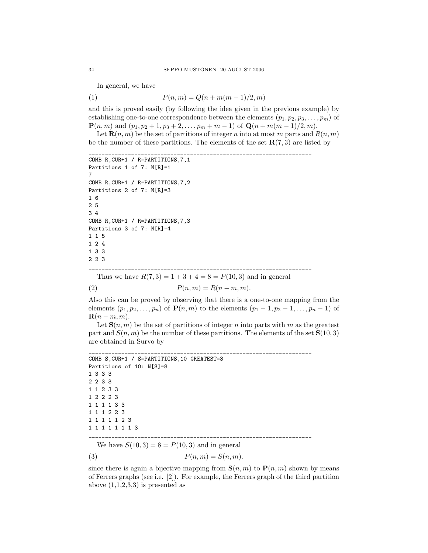In general, we have

(1)  $P(n, m) = Q(n + m(m - 1)/2, m)$ 

and this is proved easily (by following the idea given in the previous example) by establishing one-to-one correspondence between the elements  $(p_1, p_2, p_3, \ldots, p_m)$  of **P**(*n*, *m*) and (*p*<sub>1</sub>, *p*<sub>2</sub> + 1, *p*<sub>3</sub> + 2, . . . , *p*<sub>*m*</sub> + *m* − 1) of **Q**(*n* + *m*(*m* − 1)/2, *m*).

Let **R** $(n, m)$  be the set of partitions of integer n into at most m parts and  $R(n, m)$ be the number of these partitions. The elements of the set  $\mathbf{R}(7,3)$  are listed by

```
____________________________________________________________________
COMB R,CUR+1 / R=PARTITIONS,7,1
Partitions 1 of 7: N[R]=17
COMB R,CUR+1 / R=PARTITIONS,7,2
Partitions 2 of 7: N[R]=3
1 6
2 5
3 4
COMB R,CUR+1 / R=PARTITIONS,7,3
Partitions 3 of 7: N[R]=4115
124
133
223
____________________________________________________________________
  Thus we have R(7,3) = 1 + 3 + 4 = 8 = P(10,3) and in general
```

```
(2) P(n, m) = R(n - m, m).
```
Also this can be proved by observing that there is a one-to-one mapping from the elements  $(p_1, p_2,...,p_n)$  of  $P(n, m)$  to the elements  $(p_1 - 1, p_2 - 1,...,p_n - 1)$  of  $\mathbf{R}(n-m,m)$ .

Let  $S(n, m)$  be the set of partitions of integer n into parts with m as the greatest part and  $S(n, m)$  be the number of these partitions. The elements of the set  $S(10, 3)$ are obtained in Survo by

```
____________________________________________________________________
COMB S,CUR+1 / S=PARTITIONS,10 GREATEST=3
Partitions of 10: N[S]=8
1333
2233
11233
12223
111133
111223
1111123
11111113
____________________________________________________________________
```
We have  $S(10, 3) = 8 = P(10, 3)$  and in general

$$
(3) \t\t P(n,m) = S(n,m).
$$

since there is again a bijective mapping from  $\mathbf{S}(n,m)$  to  $\mathbf{P}(n,m)$  shown by means of Ferrers graphs (see i.e. [2]). For example, the Ferrers graph of the third partition above  $(1,1,2,3,3)$  is presented as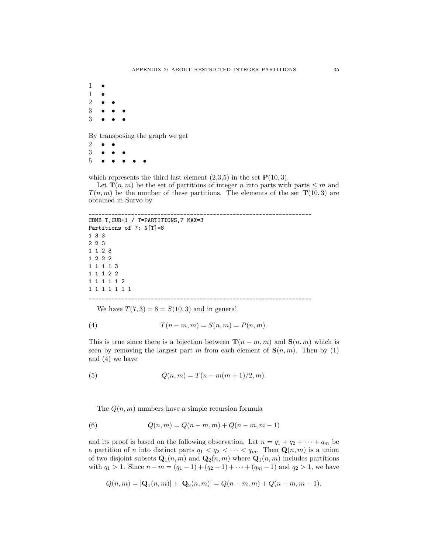1 • **1**  $\frac{2}{3}$ 3 ••• 3 •••

By transposing the graph we get

 $\frac{2}{3}$ 3 ••• 5 •••••

which represents the third last element  $(2,3,5)$  in the set  $\mathbf{P}(10,3)$ .

Let **T** $(n, m)$  be the set of partitions of integer n into parts with parts  $\leq m$  and  $T(n,m)$  be the number of these partitions. The elements of the set  $\mathbf{T}(10,3)$  are obtained in Survo by

```
____________________________________________________________________
COMB T,CUR+1 / T=PARTITIONS,7 MAX=3
Partitions of 7: N[T]=8133
223
1123
1222
11113
11122
111112
1111111
  ____________________________________________________________________
```
We have  $T(7,3) = 8 = S(10,3)$  and in general

(4) 
$$
T(n-m, m) = S(n, m) = P(n, m).
$$

This is true since there is a bijection between **T**( $n - m, m$ ) and **S**( $n, m$ ) which is seen by removing the largest part m from each element of  $S(n, m)$ . Then by (1) and (4) we have

(5) 
$$
Q(n,m) = T(n-m(m+1)/2, m).
$$

The  $Q(n, m)$  numbers have a simple recursion formula

(6) 
$$
Q(n,m) = Q(n-m,m) + Q(n-m,m-1)
$$

and its proof is based on the following observation. Let  $n = q_1 + q_2 + \cdots + q_m$  be a partition of *n* into distinct parts  $q_1 < q_2 < \cdots < q_m$ . Then  $\mathbf{Q}(n,m)$  is a union of two disjoint subsets  $\mathbf{Q}_1(n,m)$  and  $\mathbf{Q}_2(n,m)$  where  $\mathbf{Q}_1(n,m)$  includes partitions with  $q_1 > 1$ . Since  $n - m = (q_1 - 1) + (q_2 - 1) + \cdots + (q_m - 1)$  and  $q_2 > 1$ , we have

$$
Q(n,m) = |\mathbf{Q}_1(n,m)| + |\mathbf{Q}_2(n,m)| = Q(n-m,m) + Q(n-m,m-1).
$$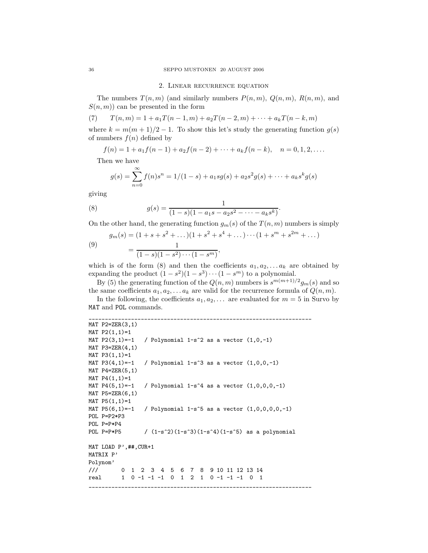#### 2. Linear recurrence equation

The numbers  $T(n, m)$  (and similarly numbers  $P(n, m)$ ,  $Q(n, m)$ ,  $R(n, m)$ , and  $S(n, m)$  can be presented in the form

(7) 
$$
T(n,m) = 1 + a_1 T(n-1,m) + a_2 T(n-2,m) + \dots + a_k T(n-k,m)
$$

where  $k = m(m + 1)/2 - 1$ . To show this let's study the generating function  $g(s)$ of numbers  $f(n)$  defined by

$$
f(n) = 1 + a_1 f(n-1) + a_2 f(n-2) + \dots + a_k f(n-k), \quad n = 0, 1, 2, \dots
$$

Then we have

$$
g(s) = \sum_{n=0}^{\infty} f(n)s^n = 1/(1-s) + a_1sg(s) + a_2s^2g(s) + \dots + a_ks^kg(s)
$$

giving

(8) 
$$
g(s) = \frac{1}{(1-s)(1-a_1s-a_2s^2-\cdots-a_ks^k)}.
$$

On the other hand, the generating function  $g_m(s)$  of the  $T(n, m)$  numbers is simply

(9)  

$$
g_m(s) = (1 + s + s^2 + \dots)(1 + s^2 + s^4 + \dots) \dots (1 + s^m + s^{2m} + \dots)
$$

$$
= \frac{1}{(1 - s)(1 - s^2) \dots (1 - s^m)},
$$

which is of the form (8) and then the coefficients  $a_1, a_2, \ldots, a_k$  are obtained by expanding the product  $(1 - s^2)(1 - s^3) \cdots (1 - s^m)$  to a polynomial.

By (5) the generating function of the  $Q(n, m)$  numbers is  $s^{m(m+1)/2}g_m(s)$  and so the same coefficients  $a_1, a_2, \ldots, a_k$  are valid for the recurrence formula of  $Q(n, m)$ .

In the following, the coefficients  $a_1, a_2, \ldots$  are evaluated for  $m = 5$  in Survo by MAT and POL commands.

\_\_\_\_\_\_\_\_\_\_\_\_\_\_\_\_\_\_\_\_\_\_\_\_\_\_\_\_\_\_\_\_\_\_\_\_\_\_\_\_\_\_\_\_\_\_\_\_\_\_\_\_\_\_\_\_\_\_\_\_\_\_\_\_\_\_\_\_

```
MAT P2=ZER(3,1)
MAT P2(1,1)=1
MAT P2(3,1)=-1 / Polynomial 1-s<sup>2</sup> as a vector (1,0,-1)MAT P3 = ZER(4,1)MAT P3(1,1)=1MAT P3(4,1)=-1 / Polynomial 1-s<sup>2</sup> as a vector (1,0,0,-1)MAT P4=ZER(5,1)
MAT P4(1,1)=1MAT P4(5,1)=-1 / Polynomial 1-s<sup>2</sup> as a vector (1,0,0,0,-1)MAT P5=ZER(6,1)
MAT P5(1,1)=1MAT P5(6,1)=-1 / Polynomial 1-s<sup>2</sup>5 as a vector (1,0,0,0,0,-1)POL P=P2*P3
POL P=P*P4
POL P=P*P5 / (1-s^2)(1-s^3)(1-s^4)(1-s^5) as a polynomial
MAT LOAD P',##,CUR+1
MATRIX P'
Polynom'
/// 0 1 2 3 4 5 6 7 8 9 10 11 12 13 14
real 1 0 -1 -1 -1 0 1 2 1 0 -1 -1 -1 0 1
                                               _____________________
```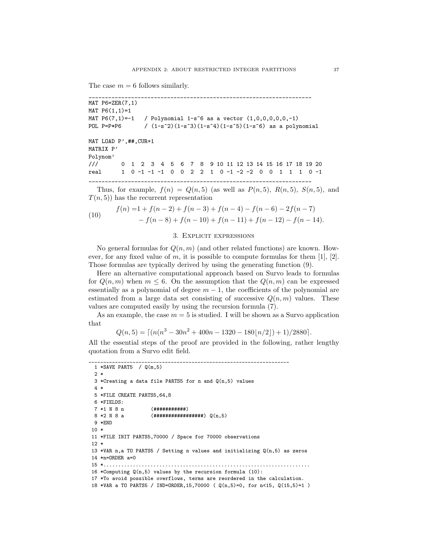The case  $m = 6$  follows similarly.

```
____________________________________________________________________
MAT P6=ZER(7,1)
MAT P6(1,1)=1MAT P6(7,1)=-1 / Polynomial 1-s<sup>o</sup>6 as a vector (1,0,0,0,0,0,-1)POL P=P*P6 / (1-s^2)(1-s^3)(1-s^4)(1-s^5)(1-s^6) as a polynomial
MAT LOAD P',##,CUR+1
MATRIX P'
Polynom'
/// 0 1 2 3 4 5 6 7 8 9 10 11 12 13 14 15 16 17 18 19 20
real 1 0 -1 -1 -1 0 0 2 2 1 0 -1 -2 -2 0 0 1 1 1 0 -1
____________________________________________________________________
```
Thus, for example,  $f(n) = Q(n, 5)$  (as well as  $P(n, 5)$ ,  $R(n, 5)$ ,  $S(n, 5)$ , and  $T(n, 5)$  has the recurrent representation

(10) 
$$
f(n) = 1 + f(n-2) + f(n-3) + f(n-4) - f(n-6) - 2f(n-7) - f(n-8) + f(n-10) + f(n-11) + f(n-12) - f(n-14).
$$

#### 3. Explicit expressions

No general formulas for  $Q(n, m)$  (and other related functions) are known. However, for any fixed value of m, it is possible to compute formulas for them  $[1]$ ,  $[2]$ . Those formulas are typically derived by using the generating function (9).

Here an alternative computational approach based on Survo leads to formulas for  $Q(n, m)$  when  $m \leq 6$ . On the assumption that the  $Q(n, m)$  can be expressed essentially as a polynomial of degree  $m-1$ , the coefficients of the polynomial are estimated from a large data set consisting of successive  $Q(n, m)$  values. These values are computed easily by using the recursion formula (7).

As an example, the case  $m = 5$  is studied. I will be shown as a Survo application that

$$
Q(n,5) = \lceil (n(n^3 - 30n^2 + 400n - 1320 - 180\lfloor n/2 \rfloor) + 1)/2880 \rceil.
$$

All the essential steps of the proof are provided in the following, rather lengthy quotation from a Survo edit field.

```
____________________________________________________________________
 1 *SAVE PART5 / Q(m,5)
 2 *
 3 *Creating a data file PARTS5 for n and Q(n,5) values
 4 *
 5 *FILE CREATE PARTS5,64,8
 6 *FIELDS:
 7 *1 N 8 n (############)
 8 * 2 N 8 a (###################) Q(n,5)
 9 * FND10 *
11 *FILE INIT PARTS5,70000 / Space for 70000 observations
12 *
13 *VAR n,a TO PARTS5 / Setting n values and initializing Q(n,5) as zeros
14 *n=ORDER a=0
15 *......................................................................
16 *Computing Q(n,5) values by the recursion formula (10):
17 *To avoid possible overflows, terms are reordered in the calculation.
18 *VAR a TO PARTS5 / IND=ORDER,15,70000 ( Q(n,5)=0, for n<15, Q(15,5)=1 )
```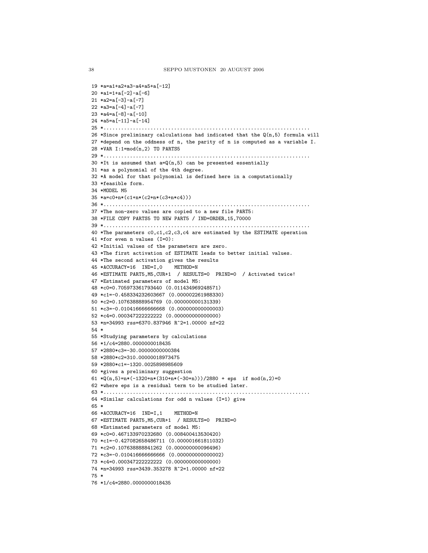```
19 *a=a1+a2+a3-a4+a5+a[-12]
20 *a1=1+a[-2]-a[-6]
21 *a2=a[-3]-a[-7]
22 *a3=a[-4]-a[-7]
23 *a4=a[-8]-a[-10]
24 *a5=a[-11]-a[-14]
25 *......................................................................
26 *Since preliminary calculations had indicated that the Q(n,5) formula will
27 *depend on the oddness of n, the parity of n is computed as a variable I.
28 *VAR I:1=mod(n,2) TO PARTS5
29 *......................................................................
30 *It is assumed that a=Q(n,5) can be presented essentially
31 *as a polynomial of the 4th degree.
32 *A model for that polynomial is defined here in a computationally
33 *feasible form.
34 *MODEL M5
35 *a=c0+n*(c1+n*(c2+n*(c3+n*c4)))
36 *......................................................................
37 *The non-zero values are copied to a new file PART5:
38 *FILE COPY PARTS5 TO NEW PART5 / IND=ORDER,15,70000
39 *......................................................................
40 *The parameters c0,c1,c2,c3,c4 are estimated by the ESTIMATE operation
41 *for even n values (I=0):
42 *Initial values of the parameters are zero.
43 *The first activation of ESTIMATE leads to better initial values.
44 *The second activation gives the results
45 *ACCURACY=16 IND=I,0 METHOD=N
46 *ESTIMATE PART5,M5,CUR+1 / RESULTS=0 PRIND=0 / Activated twice!
47 *Estimated parameters of model M5:
48 *c0=0.705973361793440 (0.011434969248571)
49 *c1=-0.458334232603667 (0.000002261988330)
50 *c2=0.107638888954769 (0.000000000131339)
51 *c3=-0.010416666666668 (0.000000000000003)
52 *c4=0.000347222222222 (0.000000000000000)
53 *n=34993 rss=6370.837946 R^2=1.00000 nf=22
54 *
55 *Studying parameters by calculations
56 *1/c4=2880.0000000018435
57 *2880*c3=-30.00000000000384
58 *2880*c2=310.00000018973475
59 *2880*c1=-1320.0025898985609
60 *gives a preliminary suggestion
61 *0(n,5)=n*(-1320+n*(310+n*(-30+n)))/2880 + eps if mod(n,2)=0
62 *where eps is a residual term to be studied later.
63 *......................................................................
64 *Similar calculations for odd n values (I=1) give
65 *
66 *ACCURACY=16 IND=I,1 METHOD=N
67 *ESTIMATE PART5,M5,CUR+1 / RESULTS=0 PRIND=0
68 *Estimated parameters of model M5:
69 *c0=0.467133970232680 (0.008400413530420)
70 *c1=-0.427082658486711 (0.000001661811032)
71 *c2=0.107638888841262 (0.000000000096496)
72 *c3=-0.010416666666666 (0.000000000000002)
73 *c4=0.000347222222222 (0.000000000000000)
74 *n=34993 rss=3439.353278 R^2=1.00000 nf=22
75 *
76 *1/c4=2880.0000000018435
```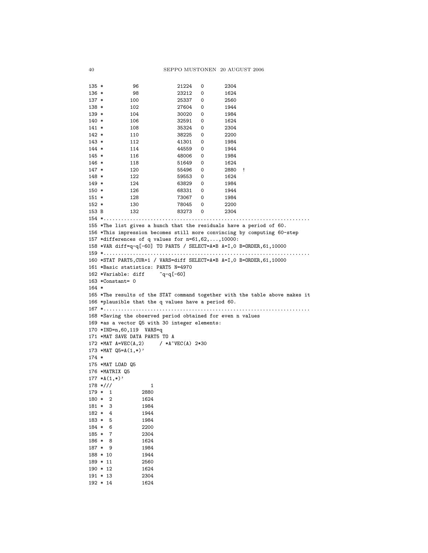```
135 * 96 21224 0 2304<br>136 * 98 23212 0 1624
           136 98 23212 0<br>136 25337 0
137 * 100 25337 0 2560<br>138 * 102 27604 0 1944
           138 * 102 27604 0 1944
139 * 104 30020 0 1984<br>140 * 106 32591 0 1624
\begin{array}{cccccccc} 140 & * & & & 106 & & & 32591 & 0 & & 1624 \\ 141 & * & & & 108 & & & 35324 & 0 & & 2304 \end{array}35324 0
142 * 110 38225 0 2200
143 * 112 41301 0 1984
144 * 114 44559 0 1944
145 * 116 48006 0
146 * 118 51649 0 1624
147 * 120 55496 0 2880 !
148 * 122 59553 0 1624
149 * 124 63829 0
150 * 126 68331 0 1944
151 * 128 73067 0 1984
152 * 130 78045 0 2200
153 B 132 83273 0 2304
154 *......................................................................
155 *The list gives a hunch that the residuals have a period of 60.
156 *This impression becomes still more convincing by computing 60-step
157 *differences of q values for n=61,62,...,10000:
158 *VAR diff=q-q[-60] TO PART5 / SELECT=A*B A=I,0 B=ORDER,61,10000
159 *......................................................................
160 *STAT PART5,CUR+1 / VARS=diff SELECT=A*B A=I,0 B=ORDER,61,10000
161 *Basic statistics: PART5 N=4970
162 *Variable: diff q-q[-60]163 *Constant= 0
164 *
165 *The results of the STAT command together with the table above makes it
166 *plausible that the q values have a period 60.
167 *......................................................................
168 *Saving the observed period obtained for even n values
169 *as a vector Q5 with 30 integer elements:
170 *IND=n,60,119 VARS=q
171 *MAT SAVE DATA PART5 TO A
172 *MAT A=VEC(A,2) / *A~VEC(A) 2*30
173 *MAT Q5 = A(1, *)174 *
175 *MAT LOAD Q5
176 *MATRIX Q5
177 * A(1,*)'178 */// 1
179 * 1 2880
180 * 2 1624
181 * 3 1984
182 * 4 1944
183 * 5 1984
184 * 6 2200
185 * 7 2304
186 * 8 1624
187 * 9 1984
188 * 10 1944
189 * 11 2560
190 * 12 1624<br>191 * 13 2304
191 * 13192 * 14 1624
```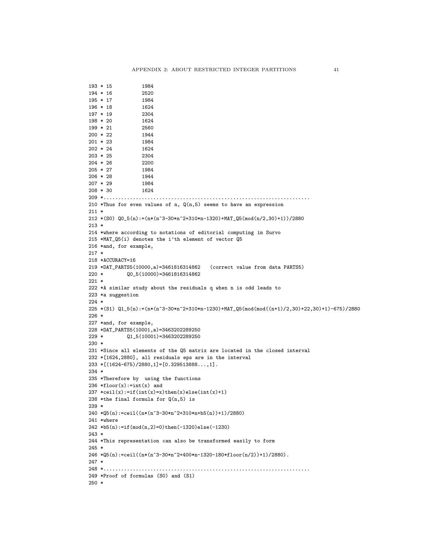```
193 * 15 1984<br>194 * 16 2520
194 * 16 2520<br>195 * 17 1984
195 * 17196 * 18 1624
197 * 19 2304
198 * 20 1624
199 * 21 2560
200 * 22 1944
201 * 23 1984
202 * 24 1624
203 * 25 2304
204 * 26 2200
205 * 27 1984
206 * 28 1944
207 * 29 1984
208 * 30 1624
209 *......................................................................
210 *Thus for even values of n, Q(n,5) seems to have an expression
211 *212 *(S0) Q0_5(n) := (n*(n^3-30*n^2+310*n-1320)+MAT_Q5(mod(n/2,30)+1))/2880213 *
214 *where according to notations of editorial computing in Survo
215 *MAT_Q5(i) denotes the i'th element of vector Q5
216 *and, for example,
217 *
218 *ACCURACY=16
219 *DAT_PARTS5(10000,a)=3461816314862 (correct value from data PARTS5)
220 * Q0_5(10000)=3461816314862
221 *
222 *A similar study about the residuals q when n is odd leads to
223 *a suggestion
224 *
225 *(S1) Q1_5(n):=(n*(n^3-30*n^2+310*n-1230)+MAT_Q5(mod(mod((n+1)/2,30)+22,30)+1)-675)/2880
226 *
227 *and, for example,
228 *DAT_PARTS5(10001,a)=3463202289250
229 * Q1_5(10001)=3463202289250
230 *
231 *Since all elements of the Q5 matrix are located in the closed interval
232 *[1624,2880], all residuals eps are in the interval
233 * [(1624-675)/2880, 1] = [0.329513888...;1].234 *
235 *Therefore by using the functions
236 *floor(x):=int(x) and
237 *ceil(x):=if(int(x)=x)then(x)else(int(x)+1)
238 *the final formula for Q(n,5) is
239 *
240 *Q5(n):=ceil((n*(n^3-30*n^2+310*n+b5(n))+1)/2880)241 *where
242 *b5(n):=if(mod(n,2)=0)then(-1320)else(-1230)
243 *
244 *This representation can also be transformed easily to form
245 *
246 * Q5(n):=ceil((n*(n^3-30*n^2+400*n-1320-180*floor(n/2))+1)/2880).247 *248 *......................................................................
249 *Proof of formulas (S0) and (S1)
250 *
```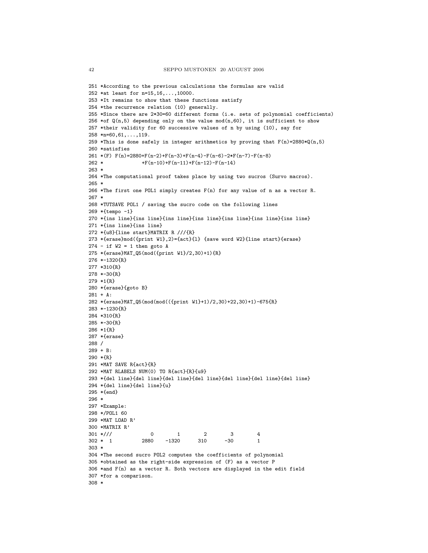```
251 *According to the previous calculations the formulas are valid
252 *at least for n=15,16,...,10000.
253 *It remains to show that these functions satisfy
254 *the recurrence relation (10) generally.
255 *Since there are 2*30=60 different forms (i.e. sets of polynomial coefficients)
256 *of Q(n,5) depending only on the value mod(n,60), it is sufficient to show
257 *their validity for 60 successive values of n by using (10), say for
258 *n=60,61,...,119.
259 *This is done safely in integer arithmetics by proving that F(n)=2880*Q(n,5)260 *satisfies
261 *(F) F(n)=2880+F(n-2)+F(n-3)+F(n-4)-F(n-6)-2*F(n-7)-F(n-8)
262 * +F(n-10)+F(n-11)+F(n-12)-F(n-14)263 *
264 *The computational proof takes place by using two sucros (Survo macros).
265 *
266 *The first one POL1 simply creates F(n) for any value of n as a vector R.
267 *
268 *TUTSAVE POL1 / saving the sucro code on the following lines
269 *{tempo -1}
270 *{ins line}{ins line}{ins line}{ins line}{ins line}{ins line}{ins line}
271 *{ins line}{ins line}
272 *{u8}{line start}MATRIX R ///{R}
273 *{erase}mod({print W1},2)={act}{l} {save word W2}{line start}{erase}
274 - if W2 = 1 then go to A275 *{erase}MAT_Q5(mod({print W1}/2,30)+1){R}
276 *-1320{R}
277 *310{R}
278 *-30{R}
279 *1{R}
280 *{erase}{goto B}
281 + A:
282 *{erase}MAT_Q5(mod(mod(({print W1}+1)/2,30)+22,30)+1)-675{R}
283 *-1230{R}
284 *310{R}
285 *-30{R}
286 *1{R}
287 *{erase}
288 /
289 + B:
290 *{R}
291 *MAT SAVE R{act}{R}
292 *MAT RLABELS NUM(0) TO R{act}{R}{u9}
293 *{del line}{del line}{del line}{del line}{del line}{del line}{del line}
294 *{del line}{del line}{u}
295 *{end}
296 *
297 *Example:
298 */POL1 60
299 *MAT LOAD R'
300 *MATRIX R'
301 */// 0 1 2 3 4
302 * 1 2880 -1320 310 -30 1
303 *
304 *The second sucro POL2 computes the coefficients of polynomial
305 *obtained as the right-side expression of (F) as a vector P
306 *and F(n) as a vector R. Both vectors are displayed in the edit field
307 *for a comparison.
308 *
```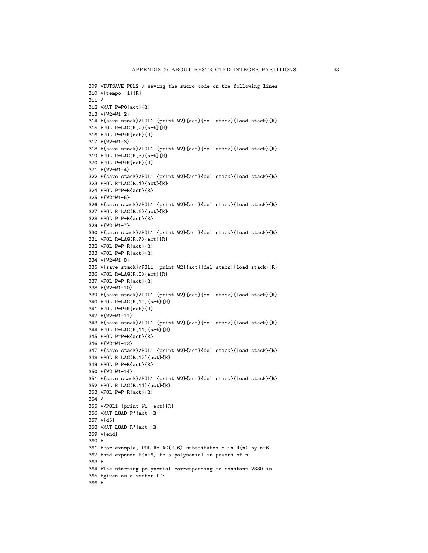```
309 *TUTSAVE POL2 / saving the sucro code on the following lines
310 *{tempo -1}{R}
311 /
312 *MAT P=P0{act}{R}
313 *{W2=W1-2}
314 *{save stack}/POL1 {print W2}{act}{del stack}{load stack}{R}
315 *POL R=LAG(R,2){act}{R}
316 *POL P=P+R{act}{R}
317 *{W2=W1-3}
318 *{save stack}/POL1 {print W2}{act}{del stack}{load stack}{R}
319 *POL R=LAG(R,3){act}{R}
320 *POL P=P+R{act}{R}
321 *{W2=W1-4}
322 *{save stack}/POL1 {print W2}{act}{del stack}{load stack}{R}
323 *POL R=LAG(R,4){act}{R}
324 *POL P=P+R{act}{R}
325 *{W2=W1-6}
326 *{save stack}/POL1 {print W2}{act}{del stack}{load stack}{R}
327 *POL R=LAG(R,6){act}{R}
328 *POL P=P-R{act}{R}
329 *{W2=W1-7}
330 *{save stack}/POL1 {print W2}{act}{del stack}{load stack}{R}
331 *POL R=LAG(R,7){act}{R}
332 *POL P=P-R{act}{R}
333 *POL P=P-R{act}{R}
334 *{W2=W1-8}
335 *{save stack}/POL1 {print W2}{act}{del stack}{load stack}{R}
336 *POL R=LAG(R,8){act}{R}
337 *POL P=P-R{act}{R}
338 *{W2=W1-10}
339 *{save stack}/POL1 {print W2}{act}{del stack}{load stack}{R}
340 *POL R=LAG(R,10){act}{R}
341 *POL P=P+R{act}{R}
342 *{W2=W1-11}
343 *{save stack}/POL1 {print W2}{act}{del stack}{load stack}{R}
344 *POL R=LAG(R,11){act}{R}
345 *POL P=P+R{act}{R}
346 *{W2=W1-12}
347 *{save stack}/POL1 {print W2}{act}{del stack}{load stack}{R}
348 *POL R=LAG(R,12){act}{R}
349 *POL P=P+R{act}{R}
350 *{W2=W1-14}
351 *{save stack}/POL1 {print W2}{act}{del stack}{load stack}{R}
352 *POL R=LAG(R,14){act}{R}
353 *POL P=P-R{act}{R}
354 /
355 */POL1 {print W1}{act}{R}
356 *MAT LOAD P'{act}{R}
357 *{d5}
358 *MAT LOAD R'{act}{R}
359 *{end}
360 *
361 *For example, POL R=LAG(R,6) substitutes n in R(n) by n-6
362 *and expands R(n-6) to a polynomial in powers of n.
363 *
364 *The starting polynomial corresponding to constant 2880 is
365 *given as a vector P0:
366 *
```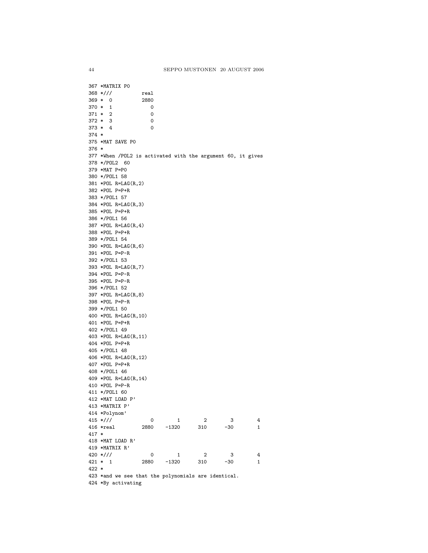367 \*MATRIX P0 368 \*/// real 369 \* 0 2880<br>370 \* 1 0  $370 * 1$  $371 * 2 0$  $372 * 3$  0  $373 * 4$  0 374 \* 375 \*MAT SAVE P0 376 \* 377 \*When /POL2 is activated with the argument 60, it gives 378 \*/POL2 60 379 \*MAT P=P0 380 \*/POL1 58 381 \*POL R=LAG(R,2) 382 \*POL P=P+R 383 \*/POL1 57 384 \*POL R=LAG(R,3) 385 \*POL P=P+R 386 \*/POL1 56 387 \*POL R=LAG(R,4) 388 \*POL P=P+R 389 \*/POL1 54 390 \*POL R=LAG(R,6) 391 \*POL P=P-R 392 \*/POL1 53 393 \*POL R=LAG(R,7) 394 \*POL P=P-R 395 \*POL P=P-R 396 \*/POL1 52 397 \*POL R=LAG(R,8) 398 \*POL P=P-R 399 \*/POL1 50 400 \*POL R=LAG(R,10) 401 \*POL P=P+R 402 \*/POL1 49 403 \*POL R=LAG(R,11) 404 \*POL P=P+R 405 \*/POL1 48 406 \*POL R=LAG(R,12) 407 \*POL P=P+R 408 \*/POL1 46 409 \*POL R=LAG(R,14) 410 \*POL P=P-R 411 \*/POL1 60 412 \*MAT LOAD P' 413 \*MATRIX P' 414 \*Polynom'  $\begin{array}{ccccccccc} 415 & * & / \end{array} \hspace{1.2cm} \begin{array}{ccccccccc} & & & & & 0 & & 1 & & 2 & & 3 & & 4 \\ 416 & * \text{real} & & & & 2880 & & -1320 & & 310 & & -30 & & 1 \end{array}$ 416 \*real 2880 -1320 310 -30 1 417 \* 418 \*MAT LOAD R' 419 \*MATRIX R'  $420 \frac{*}{1}$   $421 \frac{*}{1}$   $42880 -1320$   $310 -30$   $1$ 421 \* 1 2880 -1320 310 -30 1 422 \* 423 \*and we see that the polynomials are identical. 424 \*By activating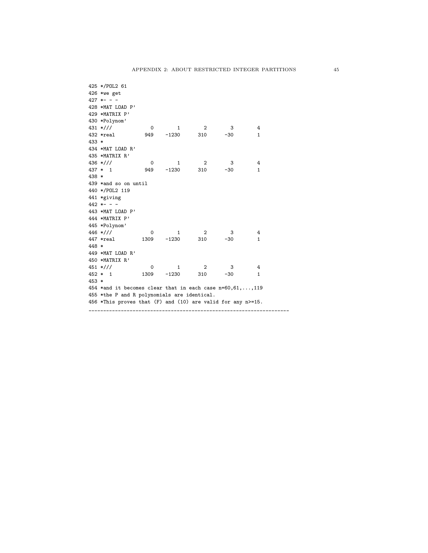|         | 425 */POL2 61                                               |             |                          |                         |        |   |
|---------|-------------------------------------------------------------|-------------|--------------------------|-------------------------|--------|---|
|         | $426$ *we get                                               |             |                          |                         |        |   |
|         | $427$ *- -                                                  |             |                          |                         |        |   |
|         | 428 *MAT LOAD P'                                            |             |                          |                         |        |   |
|         | 429 *MATRIX P'                                              |             |                          |                         |        |   |
|         | 430 *Polynom'                                               |             |                          |                         |        |   |
|         | $431 \frac{*}{1}$                                           | 0           | 1                        | $\overline{\mathbf{2}}$ | - 3    | 4 |
|         | 432 *real                                                   |             | 949 –1230                | 310                     | -30    | 1 |
| $433 *$ |                                                             |             |                          |                         |        |   |
|         | 434 *MAT LOAD R'                                            |             |                          |                         |        |   |
|         | 435 *MATRIX R'                                              |             |                          |                         |        |   |
|         | 436 *///                                                    | $\mathbf 0$ | $\overline{\phantom{1}}$ | $\overline{\mathbf{2}}$ | $_{3}$ | 4 |
|         | $437 * 1$                                                   | 949         | $-1230$ 310              |                         | $-30$  | 1 |
| 438 *   |                                                             |             |                          |                         |        |   |
|         | 439 *and so on until                                        |             |                          |                         |        |   |
|         | 440 */POL2 119                                              |             |                          |                         |        |   |
|         | 441 *giving                                                 |             |                          |                         |        |   |
|         | $442 * - -$                                                 |             |                          |                         |        |   |
|         | 443 *MAT LOAD P'                                            |             |                          |                         |        |   |
|         | 444 *MATRIX P'                                              |             |                          |                         |        |   |
|         | 445 *Polynom'                                               |             |                          |                         |        |   |
|         | 446 *///                                                    | 0           | 1                        | $\overline{2}$          | 3      | 4 |
|         | 447 *real                                                   |             | 1309 -1230 310           |                         | -30    | 1 |
| 448 *   |                                                             |             |                          |                         |        |   |
|         | 449 *MAT LOAD R'                                            |             |                          |                         |        |   |
|         | 450 *MATRIX R'                                              |             |                          |                         |        |   |
|         | $451$ *///                                                  | 0           | 1                        | $\overline{\mathbf{c}}$ | 3      | 4 |
|         | $452 * 1$                                                   | 1309        | $-1230$                  | 310                     | -30    | 1 |
| $453 *$ |                                                             |             |                          |                         |        |   |
|         | 454 *and it becomes clear that in each case $n=60,61,,119$  |             |                          |                         |        |   |
|         | 455 *the P and R polynomials are identical.                 |             |                          |                         |        |   |
|         | 456 *This proves that (F) and (10) are valid for any n>=15. |             |                          |                         |        |   |
|         |                                                             |             |                          |                         |        |   |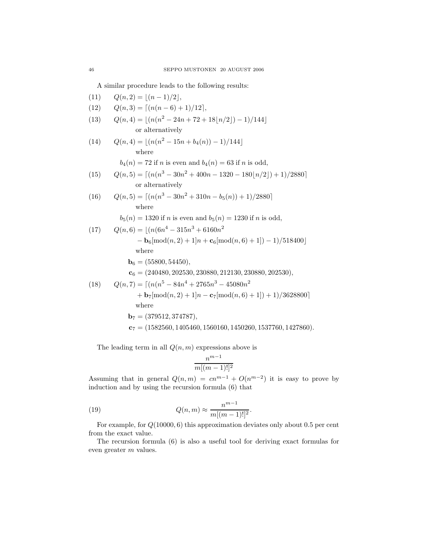A similar procedure leads to the following results:

(11) 
$$
Q(n, 2) = |(n-1)/2|
$$
,  
\n(12)  $Q(n, 3) = \lceil (n(n-6) + 1)/12 \rceil$ ,  
\n(13)  $Q(n, 4) = \lfloor (n(n^2 - 24n + 72 + 18\lfloor n/2 \rfloor) - 1)/144 \rfloor$   
\nor alternatively  
\n(14)  $Q(n, 4) = \lfloor (n(n^2 - 15n + b_4(n)) - 1)/144 \rfloor$   
\nwhere  
\n $b_4(n) = 72$  if *n* is even and  $b_4(n) = 63$  if *n* is odd,  
\n(15)  $Q(n, 5) = \lceil (n(n^3 - 30n^2 + 400n - 1320 - 180\lfloor n/2 \rfloor) + 1)/2880 \rceil$   
\nor alternatively  
\n(16)  $Q(n, 5) = \lceil (n(n^3 - 30n^2 + 310n - b_5(n)) + 1)/2880 \rceil$   
\nwhere  
\n $b_5(n) = 1320$  if *n* is even and  $b_5(n) = 1230$  if *n* is odd,  
\n(17)  $Q(n, 6) = \lfloor (n(6n^4 - 315n^3 + 6160n^2 - b_6 \lfloor \text{mod}(n, 2) + 1 \rfloor n + c_6 \lfloor \text{mod}(n, 6) + 1 \rfloor) - 1)/518400 \rfloor$   
\nwhere  
\n $b_6 = (55800, 54450),$   
\n $c_6 = (240480, 202530, 230880, 212130, 230880, 202530),$   
\n(18)  $Q(n, 7) = \lceil (n(n^5 - 84n^4 + 2765n^3 - 45080n^2 + b_7 \lfloor \text{mod}(n, 2) + 1 \rfloor n - c_7 \lfloor \text{mod}(n, 6) + 1 \rfloor) + 1)/3628800 \rceil$   
\nwhere  
\n $b_7 = (379512, 3$ 

The leading term in all  $Q(n, m)$  expressions above is

$$
\frac{n^{m-1}}{m[(m-1)!]^2}
$$

Assuming that in general  $Q(n, m) = cn^{m-1} + O(n^{m-2})$  it is easy to prove by induction and by using the recursion formula (6) that

(19) 
$$
Q(n,m) \approx \frac{n^{m-1}}{m[(m-1)!]^2}.
$$

For example, for Q(10000, 6) this approximation deviates only about 0.5 per cent from the exact value.

The recursion formula (6) is also a useful tool for deriving exact formulas for even greater m values.